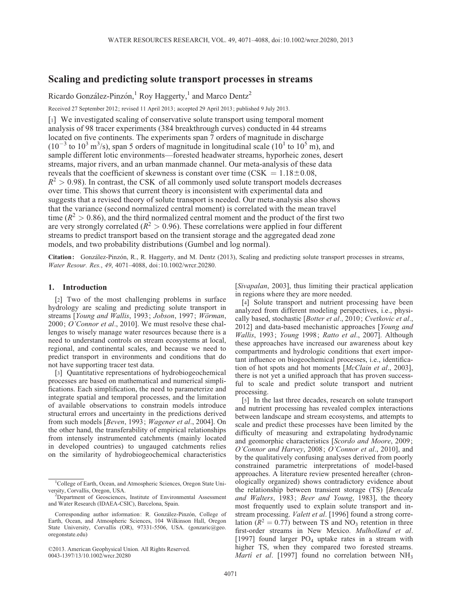# Scaling and predicting solute transport processes in streams

Ricardo González-Pinzón,<sup>1</sup> Roy Haggerty,<sup>1</sup> and Marco Dentz<sup>2</sup>

Received 27 September 2012; revised 11 April 2013; accepted 29 April 2013; published 9 July 2013.

[1] We investigated scaling of conservative solute transport using temporal moment analysis of 98 tracer experiments (384 breakthrough curves) conducted in 44 streams located on five continents. The experiments span 7 orders of magnitude in discharge  $(10^{-3}$  to  $10^{3}$  m<sup>3</sup>/s), span 5 orders of magnitude in longitudinal scale  $(10^{1}$  to  $10^{5}$  m), and sample different lotic environments—forested headwater streams, hyporheic zones, desert streams, major rivers, and an urban manmade channel. Our meta-analysis of these data reveals that the coefficient of skewness is constant over time (CSK  $= 1.18 \pm 0.08$ ,  $R^2 > 0.98$ ). In contrast, the CSK of all commonly used solute transport models decreases over time. This shows that current theory is inconsistent with experimental data and suggests that a revised theory of solute transport is needed. Our meta-analysis also shows that the variance (second normalized central moment) is correlated with the mean travel time ( $R^2 > 0.86$ ), and the third normalized central moment and the product of the first two are very strongly correlated ( $R^2 > 0.96$ ). These correlations were applied in four different streams to predict transport based on the transient storage and the aggregated dead zone models, and two probability distributions (Gumbel and log normal).

Citation: González-Pinzón, R., R. Haggerty, and M. Dentz (2013), Scaling and predicting solute transport processes in streams, Water Resour. Res., 49, 4071–4088, doi:10.1002/wrcr.20280.

# 1. Introduction

[2] Two of the most challenging problems in surface hydrology are scaling and predicting solute transport in streams [Young and Wallis, 1993; Jobson, 1997; Wörman, 2000; O'Connor et al., 2010]. We must resolve these challenges to wisely manage water resources because there is a need to understand controls on stream ecosystems at local, regional, and continental scales, and because we need to predict transport in environments and conditions that do not have supporting tracer test data.

[3] Quantitative representations of hydrobiogeochemical processes are based on mathematical and numerical simplifications. Each simplification, the need to parameterize and integrate spatial and temporal processes, and the limitation of available observations to constrain models introduce structural errors and uncertainty in the predictions derived from such models [Beven, 1993; Wagener et al., 2004]. On the other hand, the transferability of empirical relationships from intensely instrumented catchments (mainly located in developed countries) to ungauged catchments relies on the similarity of hydrobiogeochemical characteristics [Sivapalan, 2003], thus limiting their practical application in regions where they are more needed.

[4] Solute transport and nutrient processing have been analyzed from different modeling perspectives, i.e., physically based, stochastic [Botter et al., 2010; Cvetkovic et al., 2012] and data-based mechanistic approaches [Young and Wallis, 1993; Young 1998; Ratto et al., 2007]. Although these approaches have increased our awareness about key compartments and hydrologic conditions that exert important influence on biogeochemical processes, i.e., identification of hot spots and hot moments [McClain et al., 2003], there is not yet a unified approach that has proven successful to scale and predict solute transport and nutrient processing.

[5] In the last three decades, research on solute transport and nutrient processing has revealed complex interactions between landscape and stream ecosystems, and attempts to scale and predict these processes have been limited by the difficulty of measuring and extrapolating hydrodynamic and geomorphic characteristics [Scordo and Moore, 2009; O'Connor and Harvey, 2008; O'Connor et al., 2010], and by the qualitatively confusing analyses derived from poorly constrained parametric interpretations of model-based approaches. A literature review presented hereafter (chronologically organized) shows contradictory evidence about the relationship between transient storage (TS) [Bencala and Walters, 1983; Beer and Young, 1983], the theory most frequently used to explain solute transport and instream processing. *Valett et al.* [1996] found a strong correlation ( $\overline{R^2} = 0.77$ ) between TS and NO<sub>3</sub> retention in three first-order streams in New Mexico. Mulholland et al. [1997] found larger  $PO<sub>4</sub>$  uptake rates in a stream with higher TS, when they compared two forested streams. *Marti et al.* [1997] found no correlation between  $NH<sub>3</sub>$ 

<sup>&</sup>lt;sup>1</sup>College of Earth, Ocean, and Atmospheric Sciences, Oregon State University, Corvallis, Oregon, USA. <sup>2</sup>

<sup>&</sup>lt;sup>2</sup>Department of Geosciences, Institute of Environmental Assessment and Water Research (IDAEA-CSIC), Barcelona, Spain.

Corresponding author information: R. González-Pinzón, College of Earth, Ocean, and Atmospheric Sciences, 104 Wilkinson Hall, Oregon State University, Corvallis (OR), 97331-5506, USA. (gonzaric@geo. oregonstate.edu)

<sup>©</sup>2013. American Geophysical Union. All Rights Reserved. 0043-1397/13/10.1002/wrcr.20280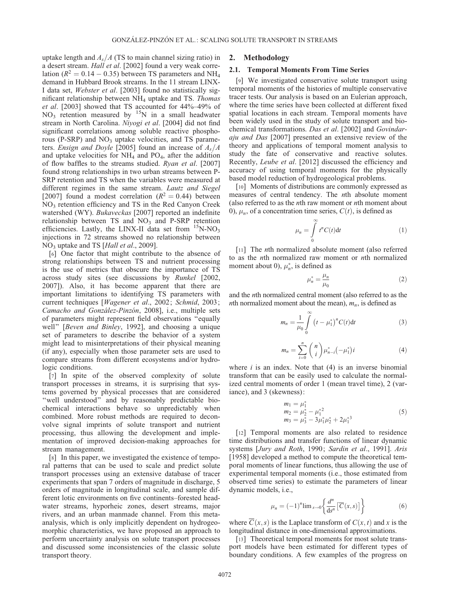uptake length and  $A_s/A$  (TS to main channel sizing ratio) in a desert stream. Hall et al. [2002] found a very weak correlation ( $R^2 = 0.14 - 0.35$ ) between TS parameters and NH<sub>4</sub> demand in Hubbard Brook streams. In the 11 stream LINX-I data set, Webster et al. [2003] found no statistically significant relationship between NH4 uptake and TS. Thomas et al. [2003] showed that TS accounted for 44%–49% of  $NO<sub>3</sub>$  retention measured by  $15N$  in a small headwater stream in North Carolina. Niyogi et al. [2004] did not find significant correlations among soluble reactive phosphorous (P-SRP) and  $NO<sub>3</sub>$  uptake velocities, and TS parameters. Ensign and Doyle [2005] found an increase of  $A_s/A$ and uptake velocities for  $NH<sub>4</sub>$  and PO<sub>4</sub>, after the addition of flow baffles to the streams studied. Ryan et al. [2007] found strong relationships in two urban streams between P-SRP retention and TS when the variables were measured at different regimes in the same stream. Lautz and Siegel [2007] found a modest correlation ( $R^2 = 0.44$ ) between NO3 retention efficiency and TS in the Red Canyon Creek watershed (WY). Bukaveckas [2007] reported an indefinite relationship between  $TS$  and  $NO<sub>3</sub>$  and P-SRP retention efficiencies. Lastly, the LINX-II data set from  $^{15}$ N-NO<sub>3</sub> injections in 72 streams showed no relationship between NO<sub>3</sub> uptake and TS [Hall et al., 2009].

[6] One factor that might contribute to the absence of strong relationships between TS and nutrient processing is the use of metrics that obscure the importance of TS across study sites (see discussions by Runkel [2002, 2007]). Also, it has become apparent that there are important limitations to identifying TS parameters with current techniques [Wagener et al., 2002; Schmid, 2003; Camacho and González-Pinzón, 2008], i.e., multiple sets of parameters might represent field observations ''equally well'' [Beven and Binley, 1992], and choosing a unique set of parameters to describe the behavior of a system might lead to misinterpretations of their physical meaning (if any), especially when those parameter sets are used to compare streams from different ecosystems and/or hydrologic conditions.

[7] In spite of the observed complexity of solute transport processes in streams, it is surprising that systems governed by physical processes that are considered "well understood" and by reasonably predictable biochemical interactions behave so unpredictably when combined. More robust methods are required to deconvolve signal imprints of solute transport and nutrient processing, thus allowing the development and implementation of improved decision-making approaches for stream management.

[8] In this paper, we investigated the existence of temporal patterns that can be used to scale and predict solute transport processes using an extensive database of tracer experiments that span 7 orders of magnitude in discharge, 5 orders of magnitude in longitudinal scale, and sample different lotic environments on five continents–forested headwater streams, hyporheic zones, desert streams, major rivers, and an urban manmade channel. From this metaanalysis, which is only implicitly dependent on hydrogeomorphic characteristics, we have proposed an approach to perform uncertainty analysis on solute transport processes and discussed some inconsistencies of the classic solute transport theory.

#### 2. Methodology

#### 2.1. Temporal Moments From Time Series

[9] We investigated conservative solute transport using temporal moments of the histories of multiple conservative tracer tests. Our analysis is based on an Eulerian approach, where the time series have been collected at different fixed spatial locations in each stream. Temporal moments have been widely used in the study of solute transport and biochemical transformations. Das et al. [2002] and Govindaraju and Das [2007] presented an extensive review of the theory and applications of temporal moment analysis to study the fate of conservative and reactive solutes. Recently, Leube et al. [2012] discussed the efficiency and accuracy of using temporal moments for the physically based model reduction of hydrogeological problems.

[10] Moments of distributions are commonly expressed as measures of central tendency. The nth absolute moment (also referred to as the nth raw moment or nth moment about 0),  $\mu_n$ , of a concentration time series,  $C(t)$ , is defined as

$$
\mu_n = \int\limits_0^\infty t^n C(t) \mathrm{d}t \tag{1}
$$

[11] The *n*th normalized absolute moment (also referred to as the nth normalized raw moment or nth normalized moment about 0),  $\mu_n^*$ , is defined as

$$
\mu_n^* = \frac{\mu_n}{\mu_0} \tag{2}
$$

and the nth normalized central moment (also referred to as the *n*th normalized moment about the mean),  $m_n$ , is defined as

$$
m_n = \frac{1}{\mu_0} \int_{0}^{\infty} (t - \mu_1^*)^n C(t) dt
$$
 (3)

$$
m_n = \sum_{i=0}^n \binom{n}{i} \mu_{n-i}^* \left( -\mu_1^* \right) i \tag{4}
$$

where  $i$  is an index. Note that  $(4)$  is an inverse binomial transform that can be easily used to calculate the normalized central moments of order 1 (mean travel time), 2 (variance), and 3 (skewness):

$$
m_1 = \mu_1^*
$$
  
\n
$$
m_2 = \mu_2^* - \mu_1^*
$$
  
\n
$$
m_3 = \mu_3^* - 3\mu_1^* \mu_2^* + 2\mu_1^*
$$
\n(5)

[12] Temporal moments are also related to residence time distributions and transfer functions of linear dynamic systems [Jury and Roth, 1990; Sardin et al., 1991]. Aris [1958] developed a method to compute the theoretical temporal moments of linear functions, thus allowing the use of experimental temporal moments (i.e., those estimated from observed time series) to estimate the parameters of linear dynamic models, i.e.,

$$
\mu_n = (-1)^n \lim_{s \to 0} \left\{ \frac{d^n}{ds^n} \left[ \overline{C}(x, s) \right] \right\} \tag{6}
$$

where  $\overline{C}(x, s)$  is the Laplace transform of  $C(x, t)$  and x is the longitudinal distance in one-dimensional approximations.

[13] Theoretical temporal moments for most solute transport models have been estimated for different types of boundary conditions. A few examples of the progress on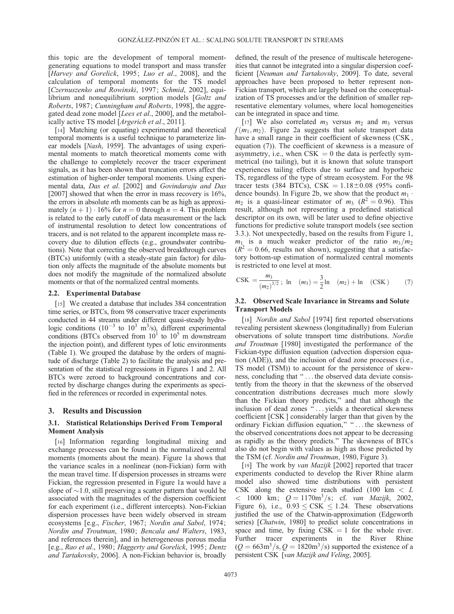this topic are the development of temporal momentgenerating equations to model transport and mass transfer [Harvey and Gorelick, 1995; Luo et al., 2008], and the calculation of temporal moments for the TS model [Czernuszenko and Rowinski, 1997; Schmid, 2002], equilibrium and nonequilibrium sorption models [Goltz and Roberts, 1987; Cunningham and Roberts, 1998], the aggregated dead zone model [Lees et al., 2000], and the metabolically active TS model [*Argerich et al.*, 2011].

[14] Matching (or equating) experimental and theoretical temporal moments is a useful technique to parameterize linear models [Nash, 1959]. The advantages of using experimental moments to match theoretical moments come with the challenge to completely recover the tracer experiment signals, as it has been shown that truncation errors affect the estimation of higher-order temporal moments. Using experimental data, Das et al. [2002] and Govindaraju and Das [2007] showed that when the error in mass recovery is  $16\%,$ the errors in absolute nth moments can be as high as approximately  $(n + 1) \cdot 16\%$  for  $n = 0$  through  $n = 4$ . This problem is related to the early cutoff of data measurement or the lack of instrumental resolution to detect low concentrations of tracers, and is not related to the apparent incomplete mass recovery due to dilution effects (e.g., groundwater contributions). Note that correcting the observed breakthrough curves (BTCs) uniformly (with a steady-state gain factor) for dilution only affects the magnitude of the absolute moments but does not modify the magnitude of the normalized absolute moments or that of the normalized central moments.

#### 2.2. Experimental Database

[15] We created a database that includes 384 concentration time series, or BTCs, from 98 conservative tracer experiments conducted in 44 streams under different quasi-steady hydrologic conditions  $(10^{-3}$  to  $10^{3}$  m<sup>3</sup>/s), different experimental conditions (BTCs observed from  $10^1$  to  $10^5$  m downstream the injection point), and different types of lotic environments (Table 1). We grouped the database by the orders of magnitude of discharge (Table 2) to facilitate the analysis and presentation of the statistical regressions in Figures 1 and 2. All BTCs were zeroed to background concentrations and corrected by discharge changes during the experiments as specified in the references or recorded in experimental notes.

# 3. Results and Discussion

### 3.1. Statistical Relationships Derived From Temporal Moment Analysis

[16] Information regarding longitudinal mixing and exchange processes can be found in the normalized central moments (moments about the mean). Figure 1a shows that the variance scales in a nonlinear (non-Fickian) form with the mean travel time. If dispersion processes in streams were Fickian, the regression presented in Figure 1a would have a slope of  $\sim$ 1.0, still preserving a scatter pattern that would be associated with the magnitudes of the dispersion coefficient for each experiment (i.e., different intercepts). Non-Fickian dispersion processes have been widely observed in stream ecosystems [e.g., Fischer, 1967; Nordin and Sabol, 1974; Nordin and Troutman, 1980; Bencala and Walters, 1983, and references therein], and in heterogeneous porous media [e.g., Rao et al., 1980; Haggerty and Gorelick, 1995; Dentz and Tartakovsky, 2006]. A non-Fickian behavior is, broadly

defined, the result of the presence of multiscale heterogeneities that cannot be integrated into a singular dispersion coefficient [Neuman and Tartakovsky, 2009]. To date, several approaches have been proposed to better represent non-Fickian transport, which are largely based on the conceptualization of TS processes and/or the definition of smaller representative elementary volumes, where local homogeneities can be integrated in space and time.

[17] We also correlated  $m_3$  versus  $m_2$  and  $m_3$  versus  $f(m_1, m_2)$ . Figure 2a suggests that solute transport data have a small range in their coefficient of skewness (CSK, equation (7)). The coefficient of skewness is a measure of asymmetry, i.e., when  $CSK = 0$  the data is perfectly symmetrical (no tailing), but it is known that solute transport experiences tailing effects due to surface and hyporheic TS, regardless of the type of stream ecosystem. For the 98 tracer tests (384 BTCs),  $CSK = 1.18 \pm 0.08$  (95% confidence bounds). In Figure 2b, we show that the product  $m_1$ .  $m_2$  is a quasi-linear estimator of  $m_3$  ( $R^2 = 0.96$ ). This result, although not representing a predefined statistical descriptor on its own, will be later used to define objective functions for predictive solute transport models (see section 3.3.). Not unexpectedly, based on the results from Figure 1,  $m_1$  is a much weaker predictor of the ratio  $m_3/m_2$  $(R^{2} = 0.66$ , results not shown), suggesting that a satisfactory bottom-up estimation of normalized central moments is restricted to one level at most.

$$
CSK = \frac{m_3}{(m_2)^{3/2}}; \text{ ln } (m_3) = \frac{3}{2} \text{ln } (m_2) + \text{ln } (CSK) \tag{7}
$$

# 3.2. Observed Scale Invariance in Streams and Solute Transport Models

[18] *Nordin and Sabol* [1974] first reported observations revealing persistent skewness (longitudinally) from Eulerian observations of solute transport time distributions. Nordin and Troutman [1980] investigated the performance of the Fickian-type diffusion equation (advection dispersion equation (ADE)), and the inclusion of dead zone processes (i.e., TS model (TSM)) to account for the persistence of skewness, concluding that ''... the observed data deviate consistently from the theory in that the skewness of the observed concentration distributions decreases much more slowly than the Fickian theory predicts,'' and that although the inclusion of dead zones ''... yields a theoretical skewness coefficient [CSK ] considerably larger than that given by the ordinary Fickian diffusion equation," "... the skewness of the observed concentrations does not appear to be decreasing as rapidly as the theory predicts.'' The skewness of BTCs also do not begin with values as high as those predicted by the TSM (cf. Nordin and Troutman, 1980, Figure 3).

[19] The work by van Mazijk [2002] reported that tracer experiments conducted to develop the River Rhine alarm model also showed time distributions with persistent CSK along the extensive reach studied (100 km < L  $<$  1000 km;  $Q = 1170 \text{m}^3/\text{s}$ ; cf. van Mazijk, 2002, Figure 6), i.e.,  $0.93 \leq \text{CSK} \leq 1.24$ . These observations justified the use of the Chatwin-approximation (Edgeworth series) [Chatwin, 1980] to predict solute concentrations in space and time, by fixing  $CSK = 1$  for the whole river. Further tracer experiments in the River Rhine  $(Q = 663 \text{m}^3/\text{s}, Q = 1820 \text{m}^3/\text{s})$  supported the existence of a persistent CSK [van Mazijk and Veling, 2005].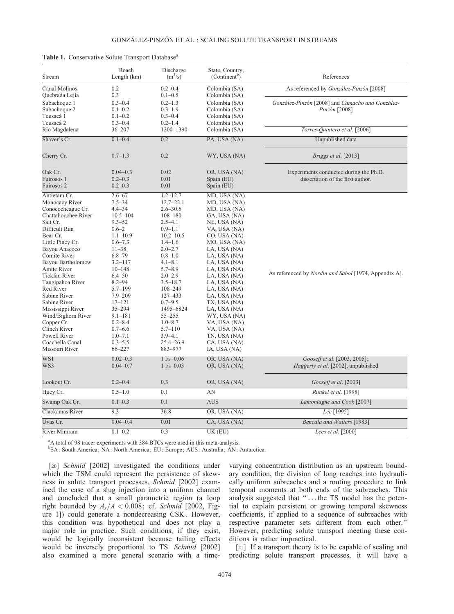| Stream                                                                                                                                                                                                                                                                                                                                                                                                                                     | Reach<br>Length (km)                                                                                                                                                                                                                                                                                                                                    | Discharge<br>$(m^3/s)$                                                                                                                                                                                                                                                                                                                                         | State, Country,<br>(Continent <sup>b</sup> )                                                                                                                                                                                                                                                                                                                                                 | References                                                                  |  |
|--------------------------------------------------------------------------------------------------------------------------------------------------------------------------------------------------------------------------------------------------------------------------------------------------------------------------------------------------------------------------------------------------------------------------------------------|---------------------------------------------------------------------------------------------------------------------------------------------------------------------------------------------------------------------------------------------------------------------------------------------------------------------------------------------------------|----------------------------------------------------------------------------------------------------------------------------------------------------------------------------------------------------------------------------------------------------------------------------------------------------------------------------------------------------------------|----------------------------------------------------------------------------------------------------------------------------------------------------------------------------------------------------------------------------------------------------------------------------------------------------------------------------------------------------------------------------------------------|-----------------------------------------------------------------------------|--|
| Canal Molinos<br>Quebrada Lejía                                                                                                                                                                                                                                                                                                                                                                                                            | 0.2<br>0.3                                                                                                                                                                                                                                                                                                                                              | $0.2 - 0.4$<br>$0.1 - 0.5$                                                                                                                                                                                                                                                                                                                                     | Colombia (SA)<br>Colombia (SA)                                                                                                                                                                                                                                                                                                                                                               | As referenced by <i>González-Pinzón</i> [2008]                              |  |
| Subachoque 1<br>Subachoque 2<br>Teusacá 1<br>Teusacá 2                                                                                                                                                                                                                                                                                                                                                                                     | $0.3 - 0.4$<br>$0.1 - 0.2$<br>$0.1 - 0.2$<br>$0.3 - 0.4$                                                                                                                                                                                                                                                                                                | $0.2 - 1.3$<br>$0.3 - 1.9$<br>$0.3 - 0.4$<br>$0.2 - 1.4$                                                                                                                                                                                                                                                                                                       | Colombia (SA)<br>Colombia (SA)<br>Colombia (SA)<br>Colombia (SA)                                                                                                                                                                                                                                                                                                                             | González-Pinzón [2008] and Camacho and González-<br>Pinzón [2008]           |  |
| Rio Magdalena                                                                                                                                                                                                                                                                                                                                                                                                                              | $36 - 207$                                                                                                                                                                                                                                                                                                                                              | 1200-1390                                                                                                                                                                                                                                                                                                                                                      | Colombia (SA)                                                                                                                                                                                                                                                                                                                                                                                | Torres-Quintero et al. [2006]                                               |  |
| Shaver's Cr.                                                                                                                                                                                                                                                                                                                                                                                                                               | $0.1 - 0.4$                                                                                                                                                                                                                                                                                                                                             | 0.2                                                                                                                                                                                                                                                                                                                                                            | PA, USA (NA)                                                                                                                                                                                                                                                                                                                                                                                 | Unpublished data                                                            |  |
| Cherry Cr.                                                                                                                                                                                                                                                                                                                                                                                                                                 | $0.7 - 1.3$                                                                                                                                                                                                                                                                                                                                             | 0.2                                                                                                                                                                                                                                                                                                                                                            | WY, USA (NA)                                                                                                                                                                                                                                                                                                                                                                                 | Briggs et al. [2013]                                                        |  |
| Oak Cr.<br>Fuirosos 1<br>Fuirosos 2                                                                                                                                                                                                                                                                                                                                                                                                        | $0.04 - 0.3$<br>$0.2 - 0.3$<br>$0.2 - 0.3$                                                                                                                                                                                                                                                                                                              | 0.02<br>0.01<br>0.01                                                                                                                                                                                                                                                                                                                                           | OR, USA (NA)<br>Spain (EU)<br>Spain (EU)                                                                                                                                                                                                                                                                                                                                                     | Experiments conducted during the Ph.D.<br>dissertation of the first author. |  |
| Antietam Cr.<br>Monocacy River<br>Conococheague Cr.<br>Chattahoochee River<br>Salt Cr.<br>Difficult Run<br>Bear Cr.<br>Little Piney Cr.<br>Bayou Anacoco<br>Comite River<br>Bayou Bartholomew<br>Amite River<br>Tickfau River<br>Tangipahoa River<br><b>Red River</b><br>Sabine River<br>Sabine River<br>Mississippi River<br>Wind/Bighorn River<br>Copper Cr.<br>Clinch River<br><b>Powell River</b><br>Coachella Canal<br>Missouri River | $2.6 - 67$<br>$7.5 - 34$<br>$4.4 - 34$<br>$10.5 - 104$<br>$9.3 - 52$<br>$0.6 - 2$<br>$1.1 - 10.9$<br>$0.6 - 7.3$<br>$11 - 38$<br>$6.8 - 79$<br>$3.2 - 117$<br>$10 - 148$<br>$6.4 - 50$<br>$8.2 - 94$<br>$5.7 - 199$<br>$7.9 - 209$<br>$17 - 121$<br>$35 - 294$<br>$9.1 - 181$<br>$0.2 - 8.4$<br>$0.7 - 6.6$<br>$1.0 - 7.1$<br>$0.3 - 5.5$<br>$66 - 227$ | $1.2 - 12.7$<br>$12.7 - 22.1$<br>$2.6 - 30.6$<br>$108 - 180$<br>$2.5 - 4.1$<br>$0.9 - 1.1$<br>$10.2 - 10.5$<br>$1.4 - 1.6$<br>$2.0 - 2.7$<br>$0.8 - 1.0$<br>$4.1 - 8.1$<br>$5.7 - 8.9$<br>$2.0 - 2.9$<br>$3.5 - 18.7$<br>$108 - 249$<br>127–433<br>$0.7 - 9.5$<br>1495-6824<br>55-255<br>$1.0 - 8.7$<br>$5.7 - 110$<br>$3.9 - 4.1$<br>$25.4 - 26.9$<br>883-977 | MD, USA (NA)<br>MD, USA (NA)<br>MD, USA (NA)<br>GA, USA (NA)<br>NE, USA (NA)<br>VA, USA (NA)<br>CO, USA (NA)<br>MO, USA (NA)<br>LA, USA (NA)<br>LA, USA (NA)<br>LA, USA (NA)<br>LA, USA (NA)<br>LA, USA (NA)<br>LA, USA (NA)<br>LA, USA (NA)<br>LA, USA (NA)<br>TX, USA (NA)<br>LA, USA (NA)<br>WY, USA (NA)<br>VA, USA (NA)<br>VA, USA (NA)<br>TN, USA (NA)<br>CA, USA (NA)<br>IA, USA (NA) | As referenced by <i>Nordin and Sabol</i> [1974, Appendix A].                |  |
| WS1<br>WS3                                                                                                                                                                                                                                                                                                                                                                                                                                 | $0.02 - 0.3$<br>$0.04 - 0.7$                                                                                                                                                                                                                                                                                                                            | $11/s - 0.06$<br>$11/s - 0.03$                                                                                                                                                                                                                                                                                                                                 | OR, USA (NA)<br>OR, USA (NA)                                                                                                                                                                                                                                                                                                                                                                 | Gooseff et al. [2003, 2005];<br><i>Haggerty et al.</i> [2002], unpublished  |  |
| Lookout Cr.                                                                                                                                                                                                                                                                                                                                                                                                                                | $0.2 - 0.4$                                                                                                                                                                                                                                                                                                                                             | 0.3                                                                                                                                                                                                                                                                                                                                                            | OR, USA (NA)                                                                                                                                                                                                                                                                                                                                                                                 | Gooseff et al. [2003]                                                       |  |
| Huey Cr.                                                                                                                                                                                                                                                                                                                                                                                                                                   | $0.5 - 1.0$                                                                                                                                                                                                                                                                                                                                             | 0.1                                                                                                                                                                                                                                                                                                                                                            | AN                                                                                                                                                                                                                                                                                                                                                                                           | Runkel et al. [1998]                                                        |  |
| Swamp Oak Cr.                                                                                                                                                                                                                                                                                                                                                                                                                              | $0.1 - 0.3$                                                                                                                                                                                                                                                                                                                                             | 0.1                                                                                                                                                                                                                                                                                                                                                            | <b>AUS</b>                                                                                                                                                                                                                                                                                                                                                                                   | Lamontagne and Cook [2007]                                                  |  |
| Clackamas River                                                                                                                                                                                                                                                                                                                                                                                                                            | 9.3                                                                                                                                                                                                                                                                                                                                                     | 36.8                                                                                                                                                                                                                                                                                                                                                           | OR, USA (NA)                                                                                                                                                                                                                                                                                                                                                                                 | Lee [1995]                                                                  |  |
| Uvas Cr.                                                                                                                                                                                                                                                                                                                                                                                                                                   | $0.04 - 0.4$                                                                                                                                                                                                                                                                                                                                            | 0.01                                                                                                                                                                                                                                                                                                                                                           | CA, USA (NA)                                                                                                                                                                                                                                                                                                                                                                                 | Bencala and Walters [1983]                                                  |  |
| <b>River Mimram</b>                                                                                                                                                                                                                                                                                                                                                                                                                        | $0.1 - 0.2$                                                                                                                                                                                                                                                                                                                                             | 0.3                                                                                                                                                                                                                                                                                                                                                            | UK(EU)                                                                                                                                                                                                                                                                                                                                                                                       | Lees et al. [2000]                                                          |  |

#### Table 1. Conservative Solute Transport Database<sup>a</sup>

<sup>a</sup>A total of 98 tracer experiments with 384 BTCs were used in this meta-analysis.

<sup>b</sup>SA: South America; NA: North America; EU: Europe; AUS: Australia; AN: Antarctica.

[20] Schmid [2002] investigated the conditions under which the TSM could represent the persistence of skewness in solute transport processes. Schmid [2002] examined the case of a slug injection into a uniform channel and concluded that a small parametric region (a loop right bounded by  $A_s/A < 0.008$ ; cf. Schmid [2002, Figure 1]) could generate a nondecreasing CSK . However, this condition was hypothetical and does not play a major role in practice. Such conditions, if they exist, would be logically inconsistent because tailing effects would be inversely proportional to TS. Schmid [2002] also examined a more general scenario with a timevarying concentration distribution as an upstream boundary condition, the division of long reaches into hydraulically uniform subreaches and a routing procedure to link temporal moments at both ends of the subreaches. This analysis suggested that ''... the TS model has the potential to explain persistent or growing temporal skewness coefficients, if applied to a sequence of subreaches with respective parameter sets different from each other.'' However, predicting solute transport meeting these conditions is rather impractical.

[21] If a transport theory is to be capable of scaling and predicting solute transport processes, it will have a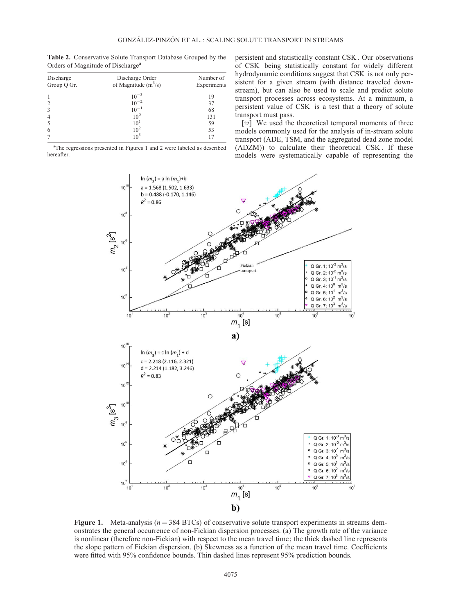| <b>Table 2.</b> Conservative Solute Transport Database Grouped by the |  |  |
|-----------------------------------------------------------------------|--|--|
| Orders of Magnitude of Discharge <sup>a</sup>                         |  |  |

| Discharge<br>Group Q Gr. | Discharge Order<br>of Magnitude $(m^3/s)$ | Number of<br>Experiments |  |
|--------------------------|-------------------------------------------|--------------------------|--|
|                          |                                           | 19                       |  |
|                          | $10^{-3}$<br>$10^{-2}$                    | 37                       |  |
|                          | $10^{-1}$                                 | 68                       |  |
| $\overline{4}$           | $10^{0}$                                  | 131                      |  |
|                          | 10 <sup>1</sup>                           | 59                       |  |
| 6                        | $10^{2}$                                  | 53                       |  |
|                          | $10^3$                                    | 17                       |  |

<sup>a</sup>The regressions presented in Figures 1 and 2 were labeled as described hereafter.

persistent and statistically constant CSK . Our observations of CSK being statistically constant for widely different hydrodynamic conditions suggest that CSK is not only persistent for a given stream (with distance traveled downstream), but can also be used to scale and predict solute transport processes across ecosystems. At a minimum, a persistent value of CSK is a test that a theory of solute transport must pass.

[22] We used the theoretical temporal moments of three models commonly used for the analysis of in-stream solute transport (ADE, TSM, and the aggregated dead zone model (ADZM)) to calculate their theoretical CSK . If these models were systematically capable of representing the



Figure 1. Meta-analysis ( $n = 384$  BTCs) of conservative solute transport experiments in streams demonstrates the general occurrence of non-Fickian dispersion processes. (a) The growth rate of the variance is nonlinear (therefore non-Fickian) with respect to the mean travel time; the thick dashed line represents the slope pattern of Fickian dispersion. (b) Skewness as a function of the mean travel time. Coefficients were fitted with 95% confidence bounds. Thin dashed lines represent 95% prediction bounds.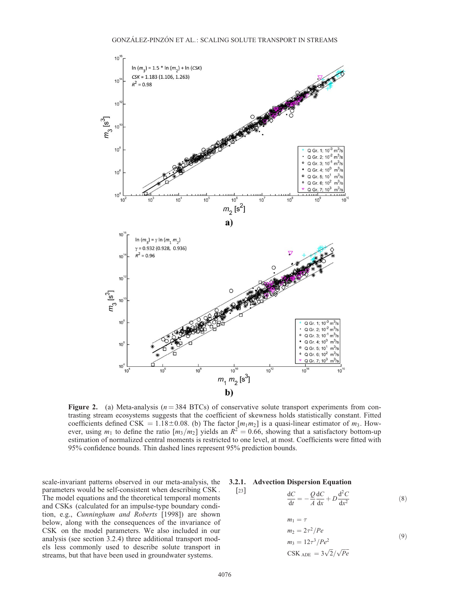

Figure 2. (a) Meta-analysis ( $n = 384$  BTCs) of conservative solute transport experiments from contrasting stream ecosystems suggests that the coefficient of skewness holds statistically constant. Fitted coefficients defined CSK = 1.18 $\pm$ 0.08. (b) The factor  $[m_1m_2]$  is a quasi-linear estimator of  $m_3$ . However, using  $m_1$  to define the ratio  $[m_3/m_2]$  yields an  $R^2 = 0.66$ , showing that a satisfactory bottom-up estimation of normalized central moments is restricted to one level, at most. Coefficients were fitted with 95% confidence bounds. Thin dashed lines represent 95% prediction bounds.

scale-invariant patterns observed in our meta-analysis, the parameters would be self-consistent when describing CSK . The model equations and the theoretical temporal moments and CSKs (calculated for an impulse-type boundary condition, e.g., Cunningham and Roberts [1998]) are shown below, along with the consequences of the invariance of CSK on the model parameters. We also included in our analysis (see section 3.2.4) three additional transport models less commonly used to describe solute transport in streams, but that have been used in groundwater systems.

#### 3.2.1. Advection Dispersion Equation

$$
\frac{\mathrm{d}C}{\mathrm{d}t} = -\frac{Q}{A}\frac{\mathrm{d}C}{\mathrm{d}x} + D\frac{\mathrm{d}^2C}{\mathrm{d}x^2} \tag{8}
$$

$$
m_1 = \tau
$$
  
\n
$$
m_2 = 2\tau^2 / Pe
$$
  
\n
$$
m_3 = 12\tau^3 / Pe^2
$$
  
\n
$$
\text{CSK}_{ADE} = 3\sqrt{2} / \sqrt{Pe}
$$
\n(9)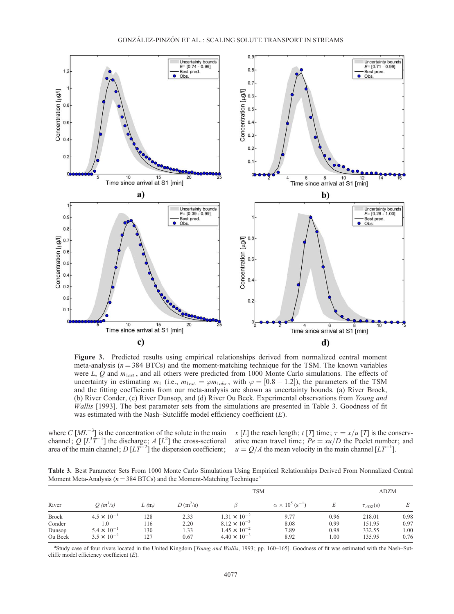

Figure 3. Predicted results using empirical relationships derived from normalized central moment meta-analysis ( $n = 384$  BTCs) and the moment-matching technique for the TSM. The known variables were L, Q and  $m_{1est}$ , and all others were predicted from 1000 Monte Carlo simulations. The effects of uncertainty in estimating  $m_1$  (i.e.,  $m_{1est.} = \varphi m_{1obs.}$ , with  $\varphi = [0.8 - 1.2]$ ), the parameters of the TSM and the fitting coefficients from our meta-analysis are shown as uncertainty bounds. (a) River Brock, (b) River Conder, (c) River Dunsop, and (d) River Ou Beck. Experimental observations from Young and Wallis [1993]. The best parameter sets from the simulations are presented in Table 3. Goodness of fit was estimated with the Nash–Sutcliffe model efficiency coefficient  $(E)$ .

where  $C$   $[ML^{-3}]$  is the concentration of the solute in the main channel; Q  $[L^3T^{-1}]$  the discharge; A  $[L^2]$  the cross-sectional area of the main channel;  $D[LT^{-2}]$  the dispersion coefficient;  $u = Q/A$  the mean velocity in the main channel  $[LT^{-1}]$ .

x [L] the reach length; t [T] time;  $\tau = x/u$  [T] is the conservative mean travel time;  $Pe = xu/D$  the Peclet number; and

Table 3. Best Parameter Sets From 1000 Monte Carlo Simulations Using Empirical Relationships Derived From Normalized Central Moment Meta-Analysis ( $n = 384$  BTCs) and the Moment-Matching Technique<sup>a</sup>

| River        | <b>TSM</b>           |      |            |                       |                                         |      | <b>ADZM</b>     |      |
|--------------|----------------------|------|------------|-----------------------|-----------------------------------------|------|-----------------|------|
|              | $O(m^3/s)$           | L(m) | $D(m^2/s)$ |                       | $\alpha \times 10^5$ (s <sup>-1</sup> ) |      | $\tau_{ADZ}(s)$ | Е    |
| <b>Brock</b> | $4.5 \times 10^{-1}$ | 128  | 2.33       | $1.31 \times 10^{-2}$ | 9.77                                    | 0.96 | 218.01          | 0.98 |
| Conder       | 1.0                  | 116  | 2.20       | $8.12 \times 10^{-3}$ | 8.08                                    | 0.99 | 151.95          | 0.97 |
| Dunsop       | $5.4 \times 10^{-1}$ | 130  | 1.33       | $1.45 \times 10^{-2}$ | 7.89                                    | 0.98 | 332.55          | 1.00 |
| Ou Beck      | $3.5 \times 10^{-2}$ | 127  | 0.67       | $4.40 \times 10^{-3}$ | 8.92                                    | 1.00 | 135.95          | 0.76 |

<sup>a</sup>Study case of four rivers located in the United Kingdom [Young and Wallis, 1993; pp. 160-165]. Goodness of fit was estimated with the Nash-Sutcliffe model efficiency coefficient  $(E)$ .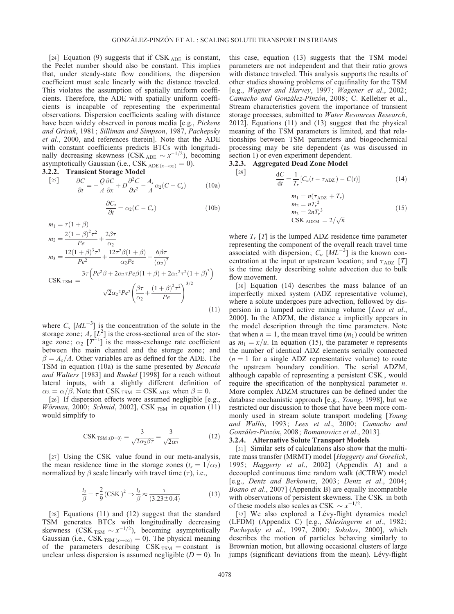$\lceil 29 \rceil$ 

[24] Equation (9) suggests that if CSK ADE is constant, the Peclet number should also be constant. This implies that, under steady-state flow conditions, the dispersion coefficient must scale linearly with the distance traveled. This violates the assumption of spatially uniform coefficients. Therefore, the ADE with spatially uniform coefficients is incapable of representing the experimental observations. Dispersion coefficients scaling with distance have been widely observed in porous media [e.g., Pickens and Grisak, 1981; Silliman and Simpson, 1987, Pachepsky et al., 2000, and references therein]. Note that the ADE with constant coefficients predicts BTCs with longitudinally decreasing skewness (CSK  $_{ADE} \sim x^{-1/2}$ ), becoming asymptotically Gaussian (i.e., CSK  $_{ADE(x \to \infty)} = 0$ ).

3.2.2. Transient Storage Model

$$
\frac{[25]}{\partial t} = -\frac{Q}{A} \frac{\partial C}{\partial x} + D \frac{\partial^2 C}{\partial x^2} - \frac{A_s}{A} \alpha_2 (C - C_s) \tag{10a}
$$

$$
\frac{\partial C_s}{\partial t} = \alpha_2 (C - C_s) \tag{10b}
$$

$$
m_1 = \tau (1 + \beta)
$$
  
\n
$$
m_2 = \frac{2(1 + \beta)^2 \tau^2}{Pe} + \frac{2\beta \tau}{\alpha_2}
$$
  
\n
$$
m_3 = \frac{12(1 + \beta)^3 \tau^3}{Pe^2} + \frac{12\tau^2 \beta (1 + \beta)}{\alpha_2 Pe} + \frac{6\beta \tau}{(\alpha_2)^2}
$$
  
\n
$$
CSK_{TSM} = \frac{3\tau (Pe^2 \beta + 2\alpha_2 \tau Pe\beta (1 + \beta) + 2\alpha_2^2 \tau^2 (1 + \beta)^3)}{\sqrt{2}\alpha_2^2 Pe^2 \left(\frac{\beta \tau}{\alpha_2} + \frac{(1 + \beta)^2 \tau^2}{Pe}\right)^{3/2}}
$$
\n(11)

where  $C_s$  [ML<sup>-3</sup>] is the concentration of the solute in the storage zone;  $A_s$  [ $L^2$ ] is the cross-sectional area of the storage zone;  $\alpha_2$   $[T^{-1}]$  is the mass-exchange rate coefficient between the main channel and the storage zone; and  $\beta = A_s/A$ . Other variables are as defined for the ADE. The TSM in equation (10a) is the same presented by Bencala and Walters [1983] and Runkel [1998] for a reach without lateral inputs, with a slightly different definition of  $\alpha_2 = \alpha/\beta$ . Note that CSK <sub>TSM</sub> = CSK <sub>ADE</sub> when  $\beta = 0$ .

[26] If dispersion effects were assumed negligible [e.g., Wörman, 2000; Schmid, 2002], CSK  $_{\text{TSM}}$  in equation (11) would simplify to

$$
\text{CSK}_{\text{TSM}: (D=0)} = \frac{3}{\sqrt{2\alpha_2\beta\tau}} = \frac{3}{\sqrt{2\alpha\tau}}\tag{12}
$$

[27] Using the CSK value found in our meta-analysis, the mean residence time in the storage zones ( $t_s = 1/\alpha_2$ ) normalized by  $\beta$  scale linearly with travel time  $(\tau)$ , i.e.,

$$
\frac{t_s}{\beta} = \tau \frac{2}{9} (\text{CSK})^2 \Rightarrow \frac{t_s}{\beta} \approx \frac{\tau}{(3.23 \pm 0.4)}
$$
(13)

[28] Equations (11) and (12) suggest that the standard TSM generates BTCs with longitudinally decreasing skewness (CSK  $_{\text{TSM}} \sim x^{-1/2}$ ), becoming asymptotically Gaussian (i.e., CSK  $_{\text{TSM}(x \to \infty)} = 0$ ). The physical meaning of the parameters describing  $CSK_{TSM} = constant$  is unclear unless dispersion is assumed negligible  $(D = 0)$ . In this case, equation (13) suggests that the TSM model parameters are not independent and that their ratio grows with distance traveled. This analysis supports the results of other studies showing problems of equifinality for the TSM [e.g., Wagner and Harvey, 1997; Wagener et al., 2002; Camacho and González-Pinzón, 2008; C. Kelleher et al., Stream characteristics govern the importance of transient storage processes, submitted to Water Resources Research, 2012]. Equations (11) and (13) suggest that the physical meaning of the TSM parameters is limited, and that relationships between TSM parameters and biogeochemical processing may be site dependent (as was discussed in section 1) or even experiment dependent.

#### 3.2.3. Aggregated Dead Zone Model

$$
\frac{\mathrm{d}C}{\mathrm{d}t} = \frac{1}{T_r} \left[ C_u (t - \tau_{\mathrm{ADZ}}) - C(t) \right] \tag{14}
$$

$$
m_1 = n(\tau_{\text{ADZ}} + T_r)
$$
  
\n
$$
m_2 = nT_r^2
$$
  
\n
$$
m_3 = 2nT_r^3
$$
  
\nCSK  $_{\text{ADZM}} = 2/\sqrt{n}$  (15)

where  $T_r$  [T] is the lumped ADZ residence time parameter representing the component of the overall reach travel time associated with dispersion;  $C_u$  [ $ML^{-3}$ ] is the known concentration at the input or upstream location; and  $\tau_{ADZ}$  [T] is the time delay describing solute advection due to bulk flow movement.

[30] Equation (14) describes the mass balance of an imperfectly mixed system (ADZ representative volume), where a solute undergoes pure advection, followed by dispersion in a lumped active mixing volume [Lees et al., 2000]. In the ADZM, the distance  $x$  implicitly appears in the model description through the time parameters. Note that when  $n = 1$ , the mean travel time  $(m_1)$  could be written as  $m_1 = x/u$ . In equation (15), the parameter *n* represents the number of identical ADZ elements serially connected  $(n = 1$  for a single ADZ representative volume) to route the upstream boundary condition. The serial ADZM, although capable of representing a persistent CSK , would require the specification of the nonphysical parameter  $n$ . More complex ADZM structures can be defined under the database mechanistic approach [e.g., Young, 1998], but we restricted our discussion to those that have been more commonly used in stream solute transport modeling [Young and Wallis, 1993; Lees et al., 2000; Camacho and González-Pinzón, 2008; Romanowicz et al., 2013].

### 3.2.4. Alternative Solute Transport Models

[31] Similar sets of calculations also show that the multirate mass transfer (MRMT) model [Haggerty and Gorelick, 1995; Haggerty et al., 2002] (Appendix A) and a decoupled continuous time random walk (dCTRW) model [e.g., Dentz and Berkowitz, 2003; Dentz et al., 2004; Boano et al., 2007] (Appendix B) are equally incompatible with observations of persistent skewness. The CSK in both of these models also scales as CSK  $\sim x^{-1/2}$ .

[32] We also explored a Lévy-flight dynamics model (LFDM) (Appendix C) [e.g., Shlesingerm et al., 1982; Pachepsky et al., 1997, 2000; Sokolov, 2000], which describes the motion of particles behaving similarly to Brownian motion, but allowing occasional clusters of large jumps (significant deviations from the mean). Lévy-flight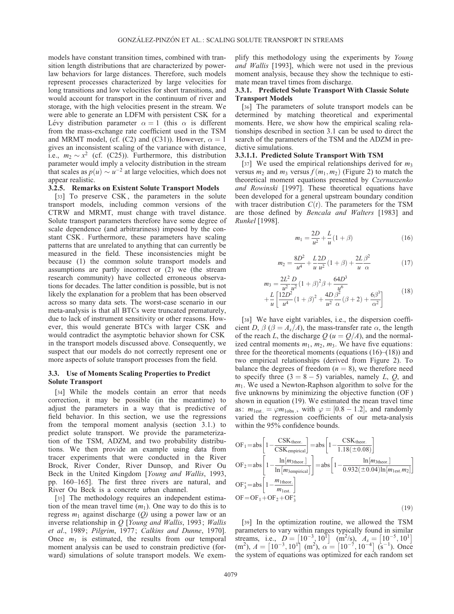models have constant transition times, combined with transition length distributions that are characterized by powerlaw behaviors for large distances. Therefore, such models represent processes characterized by large velocities for long transitions and low velocities for short transitions, and would account for transport in the continuum of river and storage, with the high velocities present in the stream. We were able to generate an LDFM with persistent CSK for a Lévy distribution parameter  $\alpha = 1$  (this  $\alpha$  is different from the mass-exchange rate coefficient used in the TSM and MRMT model, (cf. (C2) and (C31)). However,  $\alpha = 1$ gives an inconsistent scaling of the variance with distance, i.e.,  $m_2 \sim x^2$  (cf. (C25)). Furthermore, this distribution parameter would imply a velocity distribution in the stream that scales as  $p(u) \sim u^{-2}$  at large velocities, which does not appear realistic.

#### 3.2.5. Remarks on Existent Solute Transport Models

[33] To preserve CSK, the parameters in the solute transport models, including common versions of the CTRW and MRMT, must change with travel distance. Solute transport parameters therefore have some degree of scale dependence (and arbitrariness) imposed by the constant CSK . Furthermore, these parameters have scaling patterns that are unrelated to anything that can currently be measured in the field. These inconsistencies might be because (1) the common solute transport models and assumptions are partly incorrect or (2) we (the stream research community) have collected erroneous observations for decades. The latter condition is possible, but is not likely the explanation for a problem that has been observed across so many data sets. The worst-case scenario in our meta-analysis is that all BTCs were truncated prematurely, due to lack of instrument sensitivity or other reasons. However, this would generate BTCs with larger CSK and would contradict the asymptotic behavior shown for CSK in the transport models discussed above. Consequently, we suspect that our models do not correctly represent one or more aspects of solute transport processes from the field.

### 3.3. Use of Moments Scaling Properties to Predict Solute Transport

[34] While the models contain an error that needs correction, it may be possible (in the meantime) to adjust the parameters in a way that is predictive of field behavior. In this section, we use the regressions from the temporal moment analysis (section 3.1.) to predict solute transport. We provide the parameterization of the TSM, ADZM, and two probability distributions. We then provide an example using data from tracer experiments that were conducted in the River Brock, River Conder, River Dunsop, and River Ou Beck in the United Kingdom [Young and Wallis, 1993, pp. 160–165]. The first three rivers are natural, and River Ou Beck is a concrete urban channel.

[35] The methodology requires an independent estimation of the mean travel time  $(m_1)$ . One way to do this is to regress  $m_1$  against discharge (Q) using a power law or an inverse relationship in  $Q$  [Young and Wallis, 1993; Wallis et al., 1989; Pilgrim, 1977; Calkins and Dunne, 1970]. Once  $m_1$  is estimated, the results from our temporal moment analysis can be used to constrain predictive (forward) simulations of solute transport models. We exemplify this methodology using the experiments by Young and Wallis [1993], which were not used in the previous moment analysis, because they show the technique to estimate mean travel times from discharge.

### 3.3.1. Predicted Solute Transport With Classic Solute Transport Models

[36] The parameters of solute transport models can be determined by matching theoretical and experimental moments. Here, we show how the empirical scaling relationships described in section 3.1 can be used to direct the search of the parameters of the TSM and the ADZM in predictive simulations.

# 3.3.1.1. Predicted Solute Transport With TSM

[37] We used the empirical relationships derived for  $m_3$ versus  $m_2$  and  $m_3$  versus  $f(m_1, m_2)$  (Figure 2) to match the theoretical moment equations presented by Czernuszenko and Rowinski [1997]. These theoretical equations have been developed for a general upstream boundary condition with tracer distribution  $C(t)$ . The parameters for the TSM are those defined by Bencala and Walters [1983] and Runkel [1998].

$$
m_1 = \frac{2D}{u^2} + \frac{L}{u}(1+\beta)
$$
 (16)

$$
m_2 = \frac{8D^2}{u^4} + \frac{L}{u} \frac{2D}{u^2} (1 + \beta) + \frac{2L}{u} \frac{\beta^2}{\alpha}
$$
 (17)

$$
m_3 = \frac{2L^2}{u^2} \frac{D}{u^2} (1+\beta)^2 \beta + \frac{64D^3}{u^6} + \frac{L}{u} \left[ \frac{12D^2}{u^4} (1+\beta)^2 + \frac{4D\beta^2}{u^2} (\beta+2) + \frac{6\beta^3}{\alpha^2} \right]
$$
(18)

[38] We have eight variables, i.e., the dispersion coefficient D,  $\beta$  ( $\beta = A_s/A$ ), the mass-transfer rate  $\alpha$ , the length of the reach L, the discharge  $Q(u = Q/A)$ , and the normalized central moments  $m_1$ ,  $m_2$ ,  $m_3$ . We have five equations: three for the theoretical moments (equations  $(16)$ – $(18)$ ) and two empirical relationships (derived from Figure 2). To balance the degrees of freedom  $(n = 8)$ , we therefore need to specify three  $(3 = 8 - 5)$  variables, namely L, Q, and  $m_1$ . We used a Newton-Raphson algorithm to solve for the five unknowns by minimizing the objective function (OF ) shown in equation (19). We estimated the mean travel time as:  $m_{\text{test}} = \varphi m_{\text{loss}}$ , with  $\varphi = [0.8 - 1.2]$ , and randomly varied the regression coefficients of our meta-analysis within the 95% confidence bounds.

OF<sub>1</sub> = abs 
$$
\left[1 - \frac{CSK_{\text{theor.}}}{CSK_{\text{empirical}}}\right]
$$
 = abs  $\left[1 - \frac{CSK_{\text{theor.}}}{1.18(\pm 0.08)}\right]$   
OF<sub>2</sub> = abs  $\left[1 - \frac{\ln[m_{3\text{theor.}}]}{\ln[m_{3\text{emprical}}]}\right]$  = abs  $\left[1 - \frac{\ln[m_{3\text{theor.}}]}{0.932(\pm 0.04)\ln[m_{\text{lest.}}m_2]}\right]$   
OF<sub>3</sub><sup>\*</sup> = abs  $\left[1 - \frac{m_{\text{1\text{theor.}}}}{m_{\text{1\text{est.}}}}\right]$   
OF = OF<sub>1</sub> + OF<sub>2</sub> + OF<sub>3</sub><sup>\*</sup> (19)

[39] In the optimization routine, we allowed the TSM parameters to vary within ranges typically found in similar parameters to vary whill ranges typically found in similar<br>streams, i.e.,  $D = [10^{-3}, 10^{1}]$   $(m^{2}/s)$ ,  $A_s = [10^{-5}, 10^{1}]$ sucality, i.e.,  $D = \begin{bmatrix} 10 \\ 9 \end{bmatrix}$ ,  $\begin{bmatrix} 10 \\ 0 \end{bmatrix}$ ,  $\begin{bmatrix} 10 \\ 0 \end{bmatrix}$ ,  $\begin{bmatrix} 10 \\ 0 \end{bmatrix}$ ,  $\begin{bmatrix} 10 \\ 0 \end{bmatrix}$ ,  $\begin{bmatrix} 10 \\ 0 \end{bmatrix}$ ,  $\begin{bmatrix} 10 \\ 0 \end{bmatrix}$ ,  $\begin{bmatrix} 10 \\ 0 \end{bmatrix}$ ,  $\begin{bmatrix} 10 \\ 0 \end{bmatrix}$ the system of equations was optimized for each random set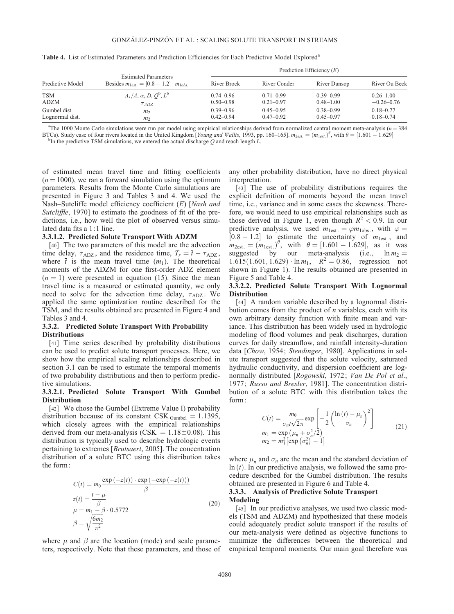| Predictive Model | <b>Estimated Parameters</b><br>Besides $m_{\text{test}} = [0.8 - 1.2] \cdot m_{\text{loss}}$ | Prediction Efficiency $(E)$ |               |               |                |  |
|------------------|----------------------------------------------------------------------------------------------|-----------------------------|---------------|---------------|----------------|--|
|                  |                                                                                              | River Brock                 | River Conder  | River Dunsop  | River Ou Beck  |  |
| <b>TSM</b>       | $A_s/A, \alpha, D, Q^b, L^b$                                                                 | $0.74 - 0.96$               | $0.71 - 0.99$ | $0.39 - 0.99$ | $0.26 - 1.00$  |  |
| <b>ADZM</b>      | $\tau_{ADZ}$                                                                                 | $0.50 - 0.98$               | $0.21 - 0.97$ | $0.48 - 1.00$ | $-0.26 - 0.76$ |  |
| Gumbel dist.     | m <sub>2</sub>                                                                               | $0.39 - 0.96$               | $0.45 - 0.95$ | $0.38 - 0.99$ | $0.18 - 0.77$  |  |
| Lognormal dist.  | m <sub>2</sub>                                                                               | $0.42 - 0.94$               | $0.47 - 0.92$ | $0.45 - 0.97$ | $0.18 - 0.74$  |  |

Table 4. List of Estimated Parameters and Prediction Efficiencies for Each Predictive Model Explored<sup>a</sup>

<sup>a</sup>The 1000 Monte Carlo simulations were run per model using empirical relationships derived from normalized central moment meta-analysis ( $n = 384$ ) BTCs). Study case of four rivers located in the United Kingdom [Young and Wallis, 1993, pp. 160–165].  $m_{2est.} = (m_{1est.})^{\theta}$ , with  $\theta = [1.601 - 1.629]$ <br>by the predictive TSM simulations, we entered the actual discharge Q and <sup>b</sup>In the predictive TSM simulations, we entered the actual discharge Q and reach length  $\hat{L}$ .

of estimated mean travel time and fitting coefficients  $(n = 1000)$ , we ran a forward simulation using the optimum parameters. Results from the Monte Carlo simulations are presented in Figure 3 and Tables 3 and 4. We used the Nash–Sutcliffe model efficiency coefficient (E) [Nash and Sutcliffle, 1970] to estimate the goodness of fit of the predictions, i.e., how well the plot of observed versus simulated data fits a 1:1 line.

#### 3.3.1.2. Predicted Solute Transport With ADZM

[40] The two parameters of this model are the advection time delay,  $\tau_{ADZ}$ , and the residence time,  $T_r = \overline{t} - \tau_{ADZ}$ , where  $\bar{t}$  is the mean travel time  $(m_1)$ . The theoretical moments of the ADZM for one first-order ADZ element  $(n = 1)$  were presented in equation (15). Since the mean travel time is a measured or estimated quantity, we only need to solve for the advection time delay,  $\tau_{ADZ}$ . We applied the same optimization routine described for the TSM, and the results obtained are presented in Figure 4 and Tables 3 and 4.

### 3.3.2. Predicted Solute Transport With Probability Distributions

[41] Time series described by probability distributions can be used to predict solute transport processes. Here, we show how the empirical scaling relationships described in section 3.1 can be used to estimate the temporal moments of two probability distributions and then to perform predictive simulations.

### 3.3.2.1. Predicted Solute Transport With Gumbel **Distribution**

[42] We chose the Gumbel (Extreme Value I) probability distribution because of its constant CSK  $_{\text{Gumbel}} = 1.1395$ , which closely agrees with the empirical relationships derived from our meta-analysis (CSK =  $1.18 \pm 0.08$ ). This distribution is typically used to describe hydrologic events pertaining to extremes [Brutsaert, 2005]. The concentration distribution of a solute BTC using this distribution takes the form:

$$
C(t) = m_0 \frac{\exp(-z(t)) \cdot \exp(-\exp(-z(t)))}{\beta}
$$
  
\n
$$
z(t) = \frac{t - \mu}{\beta}
$$
  
\n
$$
\mu = m_1 - \beta \cdot 0.5772
$$
  
\n
$$
\beta = \sqrt{\frac{6m_2}{\pi^2}}
$$
\n(20)

where  $\mu$  and  $\beta$  are the location (mode) and scale parameters, respectively. Note that these parameters, and those of any other probability distribution, have no direct physical interpretation.

[43] The use of probability distributions requires the explicit definition of moments beyond the mean travel time, i.e., variance and in some cases the skewness. Therefore, we would need to use empirical relationships such as those derived in Figure 1, even though  $R^2 < 0.9$ . In our predictive analysis, we used  $m_{\text{1est}} = \varphi m_{\text{1obs}}$ , with  $\varphi =$  $[0.8 - 1.2]$  to estimate the uncertainty of  $m_{\text{test}}$ , and  $m_{2est.} = (m_{1est.})^{\theta}$ , with  $\theta = [1.601 - 1.629]$ , as it was suggested by our meta-analysis (i.e.,  $\ln m_2 =$  $1.615(1.601, 1.629) \cdot \ln m_1$ ,  $R^2 = 0.86$ , regression not shown in Figure 1). The results obtained are presented in Figure 5 and Table 4.

# 3.3.2.2. Predicted Solute Transport With Lognormal Distribution

[44] A random variable described by a lognormal distribution comes from the product of  $n$  variables, each with its own arbitrary density function with finite mean and variance. This distribution has been widely used in hydrologic modeling of flood volumes and peak discharges, duration curves for daily streamflow, and rainfall intensity-duration data [Chow, 1954; Stendinger, 1980]. Applications in solute transport suggested that the solute velocity, saturated hydraulic conductivity, and dispersion coefficient are lognormally distributed [Rogowski, 1972; Van De Pol et al., 1977; Russo and Bresler, 1981]. The concentration distribution of a solute BTC with this distribution takes the form:

$$
C(t) = \frac{m_0}{\sigma_n t \sqrt{2\pi}} \exp\left[-\frac{1}{2} \left(\frac{\ln(t) - \mu_n}{\sigma_n}\right)^2\right]
$$
  
\n
$$
m_1 = \exp\left(\mu_n + \sigma_n^2/2\right)
$$
  
\n
$$
m_2 = m_1^2 \left[\exp\left(\sigma_n^2\right) - 1\right]
$$
\n(21)

where  $\mu_n$  and  $\sigma_n$  are the mean and the standard deviation of  $ln(t)$ . In our predictive analysis, we followed the same procedure described for the Gumbel distribution. The results obtained are presented in Figure 6 and Table 4.

### 3.3.3. Analysis of Predictive Solute Transport Modeling

[45] In our predictive analyses, we used two classic models (TSM and ADZM) and hypothesized that these models could adequately predict solute transport if the results of our meta-analysis were defined as objective functions to minimize the differences between the theoretical and empirical temporal moments. Our main goal therefore was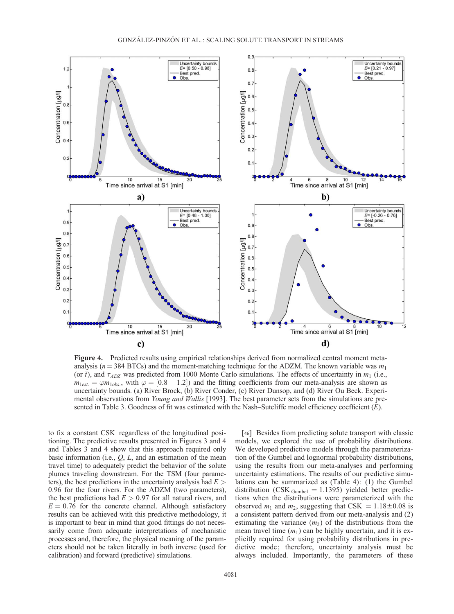

Figure 4. Predicted results using empirical relationships derived from normalized central moment metaanalysis ( $n = 384$  BTCs) and the moment-matching technique for the ADZM. The known variable was  $m_1$ (or  $\bar{t}$ ), and  $\tau_{ADZ}$  was predicted from 1000 Monte Carlo simulations. The effects of uncertainty in  $m_1$  (i.e.,  $m_{1est.} = \varphi m_{1obs.}$ , with  $\varphi = [0.8 - 1.2]$  and the fitting coefficients from our meta-analysis are shown as uncertainty bounds. (a) River Brock, (b) River Conder, (c) River Dunsop, and (d) River Ou Beck. Experimental observations from *Young and Wallis* [1993]. The best parameter sets from the simulations are presented in Table 3. Goodness of fit was estimated with the Nash–Sutcliffe model efficiency coefficient (E).

to fix a constant CSK regardless of the longitudinal positioning. The predictive results presented in Figures 3 and 4 and Tables 3 and 4 show that this approach required only basic information (i.e.,  $Q$ ,  $L$ , and an estimation of the mean travel time) to adequately predict the behavior of the solute plumes traveling downstream. For the TSM (four parameters), the best predictions in the uncertainty analysis had  $E >$ 0:96 for the four rivers. For the ADZM (two parameters), the best predictions had  $E > 0.97$  for all natural rivers, and  $E = 0.76$  for the concrete channel. Although satisfactory results can be achieved with this predictive methodology, it is important to bear in mind that good fittings do not necessarily come from adequate interpretations of mechanistic processes and, therefore, the physical meaning of the parameters should not be taken literally in both inverse (used for calibration) and forward (predictive) simulations.

[46] Besides from predicting solute transport with classic models, we explored the use of probability distributions. We developed predictive models through the parameterization of the Gumbel and lognormal probability distributions, using the results from our meta-analyses and performing uncertainty estimations. The results of our predictive simulations can be summarized as (Table 4): (1) the Gumbel distribution (CSK  $_{Gumbel}$  = 1.1395) yielded better predictions when the distributions were parameterized with the observed  $m_1$  and  $m_2$ , suggesting that CSK = 1.18 $\pm$ 0.08 is a consistent pattern derived from our meta-analysis and (2) estimating the variance  $(m_2)$  of the distributions from the mean travel time  $(m_1)$  can be highly uncertain, and it is explicitly required for using probability distributions in predictive mode; therefore, uncertainty analysis must be always included. Importantly, the parameters of these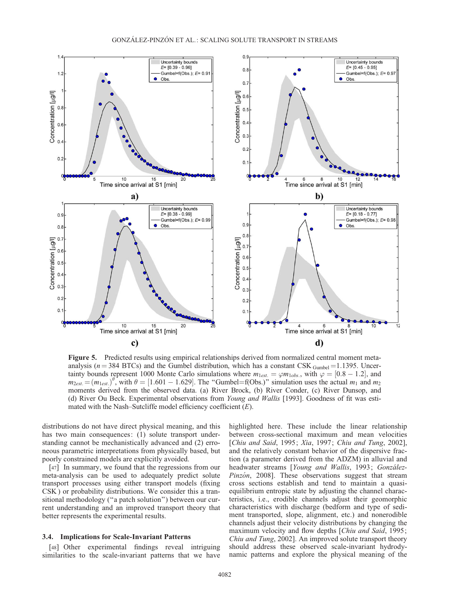

Figure 5. Predicted results using empirical relationships derived from normalized central moment metaanalysis ( $n = 384$  BTCs) and the Gumbel distribution, which has a constant CSK  $_{\text{Gumbel}} = 1.1395$ . Uncertainty bounds represent 1000 Monte Carlo simulations where  $m_{1est.} = \varphi m_{1obs.}$ , with  $\varphi = [0.8 - 1.2]$ , and  $m_{2est.} = (m_{1est.})^{\theta}$ , with  $\theta = [1.601 - 1.629]$ . The "Gumbel=f(Obs.)" simulation uses the actual  $m_1$  and  $m_2$ moments derived from the observed data. (a) River Brock, (b) River Conder, (c) River Dunsop, and (d) River Ou Beck. Experimental observations from Young and Wallis [1993]. Goodness of fit was estimated with the Nash–Sutcliffe model efficiency coefficient  $(E)$ .

distributions do not have direct physical meaning, and this has two main consequences: (1) solute transport understanding cannot be mechanistically advanced and (2) erroneous parametric interpretations from physically based, but poorly constrained models are explicitly avoided.

[47] In summary, we found that the regressions from our meta-analysis can be used to adequately predict solute transport processes using either transport models (fixing CSK ) or probability distributions. We consider this a transitional methodology (''a patch solution'') between our current understanding and an improved transport theory that better represents the experimental results.

### 3.4. Implications for Scale-Invariant Patterns

[48] Other experimental findings reveal intriguing similarities to the scale-invariant patterns that we have highlighted here. These include the linear relationship between cross-sectional maximum and mean velocities [Chiu and Said, 1995; Xia, 1997; Chiu and Tung, 2002], and the relatively constant behavior of the dispersive fraction (a parameter derived from the ADZM) in alluvial and headwater streams [Young and Wallis, 1993; González-Pinzón, 2008]. These observations suggest that stream cross sections establish and tend to maintain a quasiequilibrium entropic state by adjusting the channel characteristics, i.e., erodible channels adjust their geomorphic characteristics with discharge (bedform and type of sediment transported, slope, alignment, etc.) and nonerodible channels adjust their velocity distributions by changing the maximum velocity and flow depths [Chiu and Said, 1995; Chiu and Tung, 2002]. An improved solute transport theory should address these observed scale-invariant hydrodynamic patterns and explore the physical meaning of the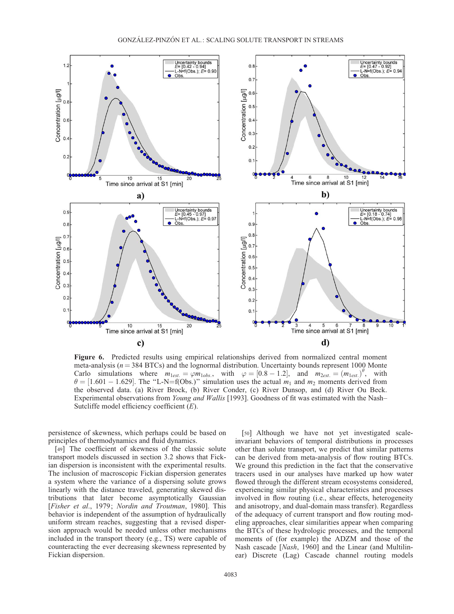

Figure 6. Predicted results using empirical relationships derived from normalized central moment meta-analysis ( $n = 384$  BTCs) and the lognormal distribution. Uncertainty bounds represent 1000 Monte Carlo simulations where  $m_{1est.} = \varphi m_{1obs.}$ , with  $\varphi = [0.8 - 1.2]$ , and  $m_{2est.} = (m_{1est.})^{\theta}$ , with  $\theta = [1.601 - 1.629]$ . The "L-N=f(Obs.)" simulation uses the actual  $m_1$  and  $m_2$  moments derived from the observed data. (a) River Brock, (b) River Conder, (c) River Dunsop, and (d) River Ou Beck. Experimental observations from Young and Wallis [1993]. Goodness of fit was estimated with the Nash– Sutcliffe model efficiency coefficient  $(E)$ .

persistence of skewness, which perhaps could be based on principles of thermodynamics and fluid dynamics.

[49] The coefficient of skewness of the classic solute transport models discussed in section 3.2 shows that Fickian dispersion is inconsistent with the experimental results. The inclusion of macroscopic Fickian dispersion generates a system where the variance of a dispersing solute grows linearly with the distance traveled, generating skewed distributions that later become asymptotically Gaussian [Fisher et al., 1979; Nordin and Troutman, 1980]. This behavior is independent of the assumption of hydraulically uniform stream reaches, suggesting that a revised dispersion approach would be needed unless other mechanisms included in the transport theory (e.g., TS) were capable of counteracting the ever decreasing skewness represented by Fickian dispersion.

[50] Although we have not yet investigated scaleinvariant behaviors of temporal distributions in processes other than solute transport, we predict that similar patterns can be derived from meta-analysis of flow routing BTCs. We ground this prediction in the fact that the conservative tracers used in our analyses have marked up how water flowed through the different stream ecosystems considered, experiencing similar physical characteristics and processes involved in flow routing (i.e., shear effects, heterogeneity and anisotropy, and dual-domain mass transfer). Regardless of the adequacy of current transport and flow routing modeling approaches, clear similarities appear when comparing the BTCs of these hydrologic processes, and the temporal moments of (for example) the ADZM and those of the Nash cascade [Nash, 1960] and the Linear (and Multilinear) Discrete (Lag) Cascade channel routing models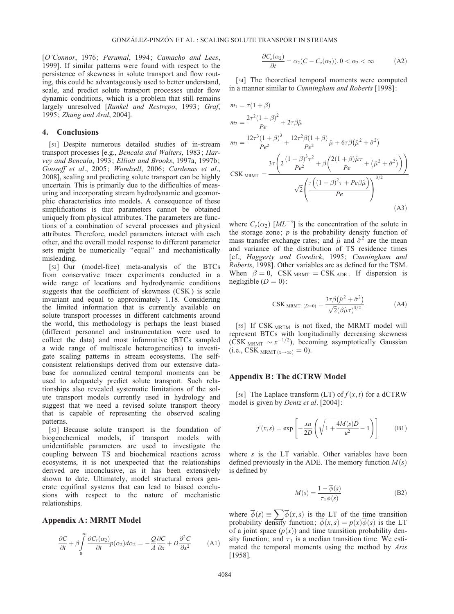[O'Connor, 1976; Perumal, 1994; Camacho and Lees, 1999]. If similar patterns were found with respect to the persistence of skewness in solute transport and flow routing, this could be advantageously used to better understand, scale, and predict solute transport processes under flow dynamic conditions, which is a problem that still remains largely unresolved [Runkel and Restrepo, 1993; Graf, 1995; Zhang and Aral, 2004].

### 4. Conclusions

[51] Despite numerous detailed studies of in-stream transport processes [e.g., Bencala and Walters, 1983; Harvey and Bencala, 1993; Elliott and Brooks, 1997a, 1997b; Gooseff et al., 2005; Wondzell, 2006; Cardenas et al., 2008], scaling and predicting solute transport can be highly uncertain. This is primarily due to the difficulties of measuring and incorporating stream hydrodynamic and geomorphic characteristics into models. A consequence of these simplifications is that parameters cannot be obtained uniquely from physical attributes. The parameters are functions of a combination of several processes and physical attributes. Therefore, model parameters interact with each other, and the overall model response to different parameter sets might be numerically "equal" and mechanistically misleading.

[52] Our (model-free) meta-analysis of the BTCs from conservative tracer experiments conducted in a wide range of locations and hydrodynamic conditions suggests that the coefficient of skewness (CSK ) is scale invariant and equal to approximately 1.18. Considering the limited information that is currently available on solute transport processes in different catchments around the world, this methodology is perhaps the least biased (different personnel and instrumentation were used to collect the data) and most informative (BTCs sampled a wide range of multiscale heterogeneities) to investigate scaling patterns in stream ecosystems. The selfconsistent relationships derived from our extensive database for normalized central temporal moments can be used to adequately predict solute transport. Such relationships also revealed systematic limitations of the solute transport models currently used in hydrology and suggest that we need a revised solute transport theory that is capable of representing the observed scaling patterns.

[53] Because solute transport is the foundation of biogeochemical models, if transport models with unidentifiable parameters are used to investigate the coupling between TS and biochemical reactions across ecosystems, it is not unexpected that the relationships derived are inconclusive, as it has been extensively shown to date. Ultimately, model structural errors generate equifinal systems that can lead to biased conclusions with respect to the nature of mechanistic relationships.

#### Appendix A: MRMT Model

$$
\frac{\partial C}{\partial t} + \beta \int_{0}^{\infty} \frac{\partial C_s(\alpha_2)}{\partial t} p(\alpha_2) d\alpha_2 = -\frac{Q}{A} \frac{\partial C}{\partial x} + D \frac{\partial^2 C}{\partial x^2}
$$
 (A1)

$$
\frac{\partial C_s(\alpha_2)}{\partial t} = \alpha_2 (C - C_s(\alpha_2)), 0 < \alpha_2 < \infty \tag{A2}
$$

[54] The theoretical temporal moments were computed in a manner similar to Cunningham and Roberts [1998]:

$$
m_1 = \tau (1 + \beta)
$$
  
\n
$$
m_2 = \frac{2\tau^2 (1 + \beta)^2}{Pe} + 2\tau \beta \hat{\mu}
$$
  
\n
$$
m_3 = \frac{12\tau^3 (1 + \beta)^3}{Pe^2} + \frac{12\tau^2 \beta (1 + \beta)}{Pe^2} \hat{\mu} + 6\tau \beta (\hat{\mu}^2 + \hat{\sigma}^2)
$$
  
\n
$$
CSK_{MRMT} = \frac{3\tau \left(2 \frac{(1 + \beta)^3 \tau^2}{Pe^2} + \beta \left(\frac{2(1 + \beta)\hat{\mu}\tau}{Pe} + (\hat{\mu}^2 + \hat{\sigma}^2)\right)\right)}{\sqrt{2} \left(\frac{\tau \left((1 + \beta)^2 \tau + Pe\beta \hat{\mu}\right)}{Pe}\right)^{3/2}}
$$
  
\n
$$
(A3)
$$

where  $C_s(\alpha_2)$  [ML<sup>-3</sup>] is the concentration of the solute in the storage zone;  $p$  is the probability density function of mass transfer exchange rates; and  $\hat{\mu}$  and  $\hat{\sigma}^2$  are the mean and variance of the distribution of TS residence times [cf., Haggerty and Gorelick, 1995; Cunningham and Roberts, 1998]. Other variables are as defined for the TSM. When  $\beta = 0$ , CSK MRMT = CSK ADE. If dispersion is negligible  $(D = 0)$ :

$$
\text{CSK}_{\text{MRMT: (D=0)}} = \frac{3\tau\beta(\hat{\mu}^2 + \hat{\sigma}^2)}{\sqrt{2}(\beta\hat{\mu}\tau)^{3/2}} \tag{A4}
$$

[55] If CSK MRTM is not fixed, the MRMT model will represent BTCs with longitudinally decreasing skewness (CSK <sub>MRMT</sub>  $\sim x^{-1/2}$ ), becoming asymptotically Gaussian (i.e., CSK  $_{MRMT(x\rightarrow\infty)} = 0$ ).

# Appendix B: The dCTRW Model

[56] The Laplace transform (LT) of  $f(x, t)$  for a dCTRW model is given by Dentz et al. [2004]:

$$
\overline{f}(x,s) = \exp\left[-\frac{xu}{2D}\left(\sqrt{1 + \frac{4M(s)D}{u^2}} - 1\right)\right]
$$
(B1)

where  $s$  is the LT variable. Other variables have been defined previously in the ADE. The memory function  $M(s)$ is defined by

$$
M(s) = \frac{1 - \overline{\phi}(s)}{\tau_1 \overline{\phi}(s)}
$$
(B2)

where  $\overline{\phi}(s) \equiv \sum \overline{\phi}(x, s)$  is the LT of the time transition probability density function;  $\overline{\phi}(x,s) = p(x)\overline{\phi}(s)$  is the LT of a joint space  $(p(x))$  and time transition probability density function; and  $\tau_1$  is a median transition time. We estimated the temporal moments using the method by Aris [1958].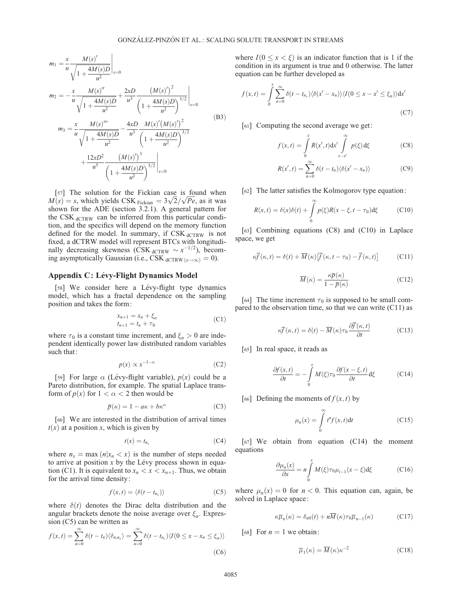$$
m_1 = \frac{x}{u} \frac{M(s)'}{\sqrt{1 + \frac{4M(s)D}{u^2}}} \Big|_{s=0}
$$
  
\n
$$
m_2 = -\frac{x}{u} \frac{M(s)''}{\sqrt{1 + \frac{4M(s)D}{u^2}}} + \frac{2xD}{u^3} \frac{(M(s)')^2}{\left(1 + \frac{4M(s)D}{u^2}\right)^{3/2}} \Big|_{s=0}
$$
  
\n
$$
m_3 = \frac{x}{u} \frac{M(s)'''}{\sqrt{1 + \frac{4M(s)D}{u^2}}} - \frac{4xD}{u^3} \frac{M(s)'(M(s)')^2}{\left(1 + \frac{4M(s)D}{u^2}\right)^{3/2}} + \frac{12xD^2}{u^5} \frac{(M(s)')^3}{\left(1 + \frac{4M(s)D}{u^2}\right)^{5/2}} \Big|_{s=0}
$$
\n(B3)

[57] The solution for the Fickian case is found when [57] The solution for the Fickian case is found when  $M(s) = s$ , which yields CSK  $_{\text{Fickian}} = 3\sqrt{2}/\sqrt{Pe}$ , as it was shown for the ADE (section 3.2.1). A general pattern for the CSK dCTRW can be inferred from this particular condition, and the specifics will depend on the memory function defined for the model. In summary, if  $CSK<sub>dCTRW</sub>$  is not fixed, a dCTRW model will represent BTCs with longitudinally decreasing skewness (CSK  $_{\text{dCTRW}} \sim x^{-1/2}$ ), becoming asymptotically Gaussian (i.e., CSK  $_{dCTRW(x\rightarrow\infty)} = 0$ ).

# Appendix C: Lévy-Flight Dynamics Model

[58] We consider here a Lévy-flight type dynamics model, which has a fractal dependence on the sampling position and takes the form:

$$
x_{n+1} = x_n + \xi_n \n t_{n+1} = t_n + \tau_0
$$
\n(C1)

where  $\tau_0$  is a constant time increment, and  $\xi_n > 0$  are independent identically power law distributed random variables such that:

$$
p(x) \propto x^{-1-\alpha} \tag{C2}
$$

[59] For large  $\alpha$  (Lévy-flight variable),  $p(x)$  could be a Pareto distribution, for example. The spatial Laplace transform of  $p(x)$  for  $1 < \alpha < 2$  then would be

$$
\overline{p}(\kappa) = 1 - a\kappa + b\kappa^{\alpha} \tag{C3}
$$

[60] We are interested in the distribution of arrival times  $t(x)$  at a position x, which is given by

$$
t(x) = t_{n_x} \tag{C4}
$$

where  $n_x = \max(n|x_n < x)$  is the number of steps needed to arrive at position  $x$  by the Lévy process shown in equation (C1). It is equivalent to  $x_n < x < x_{n+1}$ . Thus, we obtain for the arrival time density:

$$
f(x,t) = \langle \delta(t - t_{n_x}) \rangle \tag{C5}
$$

where  $\delta(t)$  denotes the Dirac delta distribution and the angular brackets denote the noise average over  $\xi_n$ . Expression (C5) can be written as

$$
f(x,t) = \sum_{n=0}^{\infty} \delta(t - t_n) \langle \delta_{n,n_x} \rangle = \sum_{n=0}^{\infty} \delta(t - t_{n_x}) \langle I(0 \le x - x_n \le \xi_n) \rangle
$$
\n(C6)

where  $I(0 \le x < \xi)$  is an indicator function that is 1 if the condition in its argument is true and 0 otherwise. The latter equation can be further developed as

$$
f(x,t) = \int_{0}^{x} \sum_{n=0}^{\infty} \delta(t - t_{n_x}) \langle \delta(x' - x_n) \rangle \langle I(0 \le x - x' \le \xi_n) \rangle dx'
$$
\n(C7)

[61] Computing the second average we get:

$$
f(x,t) = \int_{0}^{x} R(x',t) dx' \int_{x-x'}^{\infty} p(\xi) d\xi
$$
 (C8)

$$
R(x',t) = \sum_{n=0}^{\infty} \delta(t - t_n) \langle \delta(x' - x_n) \rangle
$$
 (C9)

[62] The latter satisfies the Kolmogorov type equation:

$$
R(x,t) = \delta(x)\delta(t) + \int_{0}^{\infty} p(\xi)R(x-\xi,t-\tau_0)d\xi
$$
 (C10)

[63] Combining equations (C8) and (C10) in Laplace space, we get

$$
\kappa \overline{f}(\kappa, t) = \delta(t) + \overline{M}(\kappa) \left[ \overline{f}(\kappa, t - \tau_0) - \overline{f}(\kappa, t) \right]
$$
 (C11)

$$
\overline{M}(\kappa) = \frac{\kappa \overline{p}(\kappa)}{1 - \overline{p}(\kappa)}
$$
(C12)

[64] The time increment  $\tau_0$  is supposed to be small compared to the observation time, so that we can write (C11) as

$$
\kappa \overline{f}(\kappa, t) = \delta(t) - \overline{M}(\kappa) \tau_0 \frac{\partial \overline{f}(\kappa, t)}{\partial t}
$$
 (C13)

[65] In real space, it reads as

$$
\frac{\partial f(x,t)}{\partial t} = -\int_{0}^{x} M(\xi)\tau_{0} \frac{\partial f(x-\xi,t)}{\partial t} d\xi
$$
 (C14)

[66] Defining the moments of  $f(x, t)$  by

$$
\mu_n(x) = \int\limits_0^\infty t^n f(x, t) dt \tag{C15}
$$

[67] We obtain from equation (C14) the moment equations

$$
\frac{\partial \mu_n(x)}{\partial x} = n \int_0^x M(\xi) \tau_0 \mu_{i-1}(x - \xi) d\xi
$$
 (C16)

where  $\mu_n(x) = 0$  for  $n < 0$ . This equation can, again, be solved in Laplace space:

$$
\kappa \overline{\mu}_n(\kappa) = \delta_{n0}(t) + n\overline{M}(\kappa)\tau_0 \overline{\mu}_{n-1}(\kappa)
$$
 (C17)

[68] For  $n = 1$  we obtain:

$$
\overline{\mu}_1(\kappa) = \overline{M}(\kappa)\kappa^{-2}
$$
 (C18)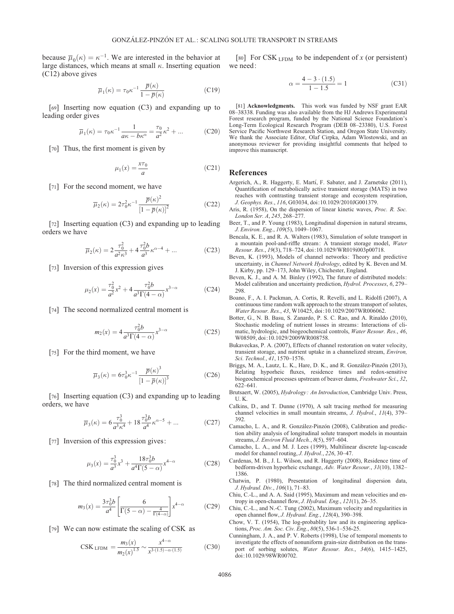because  $\overline{\mu}_0(\kappa) = \kappa^{-1}$ . We are interested in the behavior at large distances, which means at small  $\kappa$ . Inserting equation (C12) above gives

$$
\overline{\mu}_1(\kappa) = \tau_0 \kappa^{-1} \frac{\overline{p}(\kappa)}{1 - \overline{p}(\kappa)}
$$
(C19)

[69] Inserting now equation (C3) and expanding up to leading order gives

$$
\overline{\mu}_1(\kappa) = \tau_0 \kappa^{-1} \frac{1}{a\kappa - b\kappa^{\alpha}} = \frac{\tau_0}{a^2} \kappa^2 + \dots \tag{C20}
$$

[70] Thus, the first moment is given by

$$
\mu_1(x) = \frac{x\tau_0}{a} \tag{C21}
$$

[71] For the second moment, we have

$$
\overline{\mu}_2(\kappa) = 2\tau_0^2 \kappa^{-1} \frac{\overline{p}(\kappa)^2}{\left[1 - \overline{p}(\kappa)\right]^2}
$$
\n(C22)

[72] Inserting equation (C3) and expanding up to leading orders we have

$$
\overline{\mu}_2(\kappa) = 2 \frac{\tau_0^2}{a^2 \kappa^3} + 4 \frac{\tau_0^2 b}{a^3} \kappa^{\alpha - 4} + \dots
$$
 (C23)

[73] Inversion of this expression gives

$$
\mu_2(x) = \frac{\tau_0^2}{a^2} x^2 + 4 \frac{\tau_0^2 b}{a^3 \Gamma(4 - \alpha)} x^{3 - \alpha}
$$
 (C24)

[74] The second normalized central moment is

$$
m_2(x) = 4 \frac{\tau_0^2 b}{a^3 \Gamma(4 - \alpha)} x^{3 - \alpha}
$$
 (C25)

[75] For the third moment, we have

$$
\overline{\mu}_3(\kappa) = 6\tau_0^3 \kappa^{-1} \frac{\overline{p}(\kappa)^3}{\left[1 - \overline{p}(\kappa)\right]^3} \tag{C26}
$$

[76] Inserting equation (C3) and expanding up to leading orders, we have

$$
\overline{\mu}_3(\kappa) = 6 \frac{\tau_0^3}{a^3 \kappa^4} + 18 \frac{\tau_0^3 b}{a^4} \kappa^{\alpha - 5} + \dots \tag{C27}
$$

[77] Inversion of this expression gives:

$$
\mu_3(x) = \frac{\tau_0^3}{a^3} x^3 + \frac{18\tau_0^3 b}{a^4 \Gamma(5 - \alpha)} x^{4 - \alpha}
$$
 (C28)

[78] The third normalized central moment is

$$
m_3(x) = \frac{3\tau_0^3 b}{a^4} \left[ \frac{6}{\Gamma(5-\alpha) - \frac{4}{\Gamma(4-\alpha)}} \right] x^{4-\alpha}
$$
 (C29)

[79] We can now estimate the scaling of CSK as

$$
CSK_{LFDM} = \frac{m_3(x)}{m_2(x)^{1.5}} \sim \frac{x^{4-\alpha}}{x^{3\cdot(1.5)-\alpha\cdot(1.5)}}\tag{C30}
$$

[80] For CSK  $_{\text{LFDM}}$  to be independent of x (or persistent) we need:

$$
\alpha = \frac{4 - 3 \cdot (1.5)}{1 - 1.5} = 1\tag{C31}
$$

[81] **Acknowledgments.** This work was funded by NSF grant EAR 08–38338. Funding was also available from the HJ Andrews Experimental Forest research program, funded by the National Science Foundation's Long-Term Ecological Research Program (DEB 08–23380), U.S. Forest Service Pacific Northwest Research Station, and Oregon State University. We thank the Associate Editor, Olaf Cirpka, Adam Wlostowski, and an anonymous reviewer for providing insightful comments that helped to improve this manuscript.

#### References

- Argerich, A., R. Haggerty, E. Martí, F. Sabater, and J. Zarnetske (2011), Quantification of metabolically active transient storage (MATS) in two reaches with contrasting transient storage and ecosystem respiration, J. Geophys. Res., 116, G03034, doi:10.1029/2010JG001379.
- Aris, R. (1958), On the dispersion of linear kinetic waves, Proc. R. Soc. London Ser. A, 245, 268–277.
- Beer, T., and P. Young (1983), Longitudinal dispersion in natural streams, J. Environ. Eng., 109(5), 1049–1067.
- Bencala, K. E., and R. A. Walters (1983), Simulation of solute transport in a mountain pool-and-riffle stream: A transient storage model, Water Resour. Res., 19(3), 718–724, doi:10.1029/WR019i003p00718.
- Beven, K. (1993), Models of channel networks: Theory and predictive uncertainty, in Channel Network Hydrology, edited by K. Beven and M. J. Kirby, pp. 129–173, John Wiley, Chichester, England.
- Beven, K. J., and A. M. Binley (1992), The future of distributed models: Model calibration and uncertainty prediction, Hydrol. Processes, 6, 279– 298.
- Boano, F., A. I. Packman, A. Cortis, R. Revelli, and L. Ridolfi (2007), A continuous time random walk approach to the stream transport of solutes, Water Resour. Res., 43, W10425, doi:10.1029/2007WR006062.
- Botter, G., N. B. Basu, S. Zanardo, P. S. C. Rao, and A. Rinaldo (2010), Stochastic modeling of nutrient losses in streams: Interactions of climatic, hydrologic, and biogeochemical controls, Water Resour. Res., 46, W08509, doi:10.1029/2009WR008758.
- Bukaveckas, P. A. (2007), Effects of channel restoration on water velocity, transient storage, and nutrient uptake in a channelized stream, Environ, Sci. Technol., 41, 1570–1576.
- Briggs, M. A., Lautz, L. K., Hare, D. K., and R. González-Pinzón (2013), Relating hyporheic fluxes, residence times and redox-sensitive biogeochemical processes upstream of beaver dams, Freshwater Sci., 32, 622–641.
- Brutsaert, W. (2005), Hydrology : An Introduction, Cambridge Univ. Press, U. K.
- Calkins, D., and T. Dunne (1970), A salt tracing method for measuring channel velocities in small mountain streams, J. Hydrol., 11(4), 379– 392.
- Camacho, L. A., and R. González-Pinzón (2008), Calibration and prediction ability analysis of longitudinal solute transport models in mountain streams, J. Environ Fluid Mech., 8(5), 597–604.
- Camacho, L. A., and M. J. Lees (1999), Multilinear discrete lag-cascade model for channel routing, J. Hydrol., 226, 30–47.
- Cardenas, M. B., J. L. Wilson, and R. Haggerty (2008), Residence time of bedform-driven hyporheic exchange, Adv. Water Resour., 31(10), 1382– 1386.
- Chatwin, P. (1980), Presentation of longitudinal dispersion data, J. Hydraul. Div., 106(1), 71–83.
- Chiu, C.-L., and A. A. Said (1995), Maximum and mean velocities and entropy in open-channel flow, J. Hydraul. Eng., 121(1), 26–35.
- Chiu, C.-L., and N.-C. Tung (2002), Maximum velocity and regularities in open channel flow, J. Hydraul. Eng., 128(4), 390–398.
- Chow, V. T. (1954), The log-probablity law and its engineering applications, Proc. Am. Soc. Civ. Eng., 80(5), 536-1–536-25.
- Cunningham, J. A., and P. V. Roberts (1998), Use of temporal moments to investigate the effects of nonuniform grain-size distribution on the transport of sorbing solutes, Water Resour. Res., 34(6), 1415-1425, doi:10.1029/98WR00702.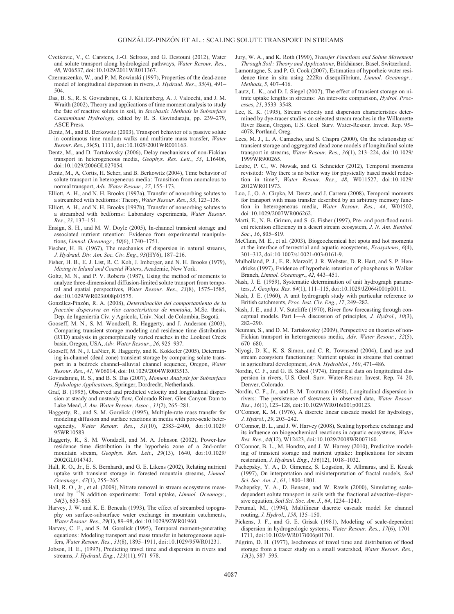- Cvetkovic, V., C. Carstens, J.-O. Selroos, and G. Destouni (2012), Water and solute transport along hydrological pathways, Water Resour. Res., 48, W06537, doi:10.1029/2011WR011367.
- Czernuszenko, W., and P. M. Rowinski (1997), Properties of the dead-zone model of longitudinal dispersion in rivers, J. Hydraul. Res., 35(4), 491– 504.
- Das, B. S., R. S. Govindaraju, G. J. Kluitenberg, A. J. Valocchi, and J. M. Wraith (2002), Theory and applications of time moment analysis to study the fate of reactive solutes in soil, in Stochastic Methods in Subsurface Contaminant Hydrology, edited by R. S. Govindaraju, pp. 239–279, ASCE Press.
- Dentz, M., and B. Berkowitz (2003), Transport behavior of a passive solute in continuous time random walks and multirate mass transfer, Water Resour. Res., 39(5), 1111, doi:10.1029/2001WR001163.
- Dentz, M., and D. Tartakovsky (2006), Delay mechanisms of non-Fickian transport in heterogeneous media, Geophys. Res. Lett., 33, L16406, doi:10.1029/2006GL027054.
- Dentz, M., A, Cortis, H. Scher, and B. Berkowitz (2004), Time behavior of solute transport in heterogeneous media: Transition from anomalous to normal transport, Adv. Water Resour., 27, 155–173.
- Elliott, A. H., and N. H. Brooks (1997a), Transfer of nonsorbing solutes to a streambed with bedforms: Theory, Water Resour. Res., 33, 123-136.
- Elliott, A. H., and N. H. Brooks (1997b), Transfer of nonsorbing solutes to a streambed with bedforms: Laboratory experiments, Water Resour. Res., 33, 137–151.
- Ensign, S. H., and M. W. Doyle (2005), In-channel transient storage and associated nutrient retention: Evidence from experimental manipulations, Limnol. Oceanogr., 50(6), 1740–1751.
- Fischer, H. B. (1967), The mechanics of dispersion in natural streams, J. Hydraul. Div. Am. Soc. Civ. Eng., 93(HY6), 187–216.
- Fisher, H. B., E. J. List, R. C. Koh, J. Imberger, and N. H. Brooks (1979), Mixing in Inland and Coastal Waters, Academic, New York.
- Goltz, M. N., and P. V. Roberts (1987), Using the method of moments to analyze three-dimensional diffusion-limited solute transport from temporal and spatial perspectives, Water Resour. Res., 23(8), 1575–1585, doi:10.1029/WR023i008p01575.
- González-Pinzón, R. A. (2008), Determinación del comportamiento de la fracción dispersiva en ríos característicos de montaña, M.Sc. thesis, Dep. de Ingeniertía Civ. y Agrícola, Univ. Nacl. de Colombia, Bogotá.
- Gooseff, M. N., S. M. Wondzell, R. Haggerty, and J. Anderson (2003), Comparing transient storage modeling and residence time distribution (RTD) analysis in geomorphically varied reaches in the Lookout Creek basin, Oregon, USA, Adv. Water Resour., 26, 925–937.
- Gooseff, M. N., J. LaNier, R. Haggerty, and K. Kokkeler (2005), Determining in-channel (dead zone) transient storage by comparing solute transport in a bedrock channel–alluvial channel sequence, Oregon, Water Resour. Res., 41, W06014, doi:10.1029/2004WR003513.
- Govindaraju, R. S., and B. S. Das (2007), Moment Analysis for Subsurface Hydrologic Applications, Springer, Dordrecht, Netherlands.
- Graf, B. (1995), Observed and predicted velocity and longitudinal dispersion at steady and unsteady flow, Colorado River, Glen Canyon Dam to Lake Mead, J. Am. Water Resour. Assoc., 31(2), 265–281.
- Haggerty, R., and S. M. Gorelick (1995), Multiple-rate mass transfer for modeling diffusion and surface reactions in media with pore-scale heterogeneity, Water Resour. Res., 31(10), 2383-2400, doi:10.1029/ 95WR10583.
- Haggerty, R., S. M. Wondzell, and M. A. Johnson (2002), Power-law residence time distribution in the hyporheic zone of a 2nd-order mountain stream, Geophys. Res. Lett., 29(13), 1640, doi:10.1029/ 2002GL014743.
- Hall, R. O., Jr., E. S. Bernhardt, and G. E. Likens (2002), Relating nutrient uptake with transient storage in forested mountain streams, Limnol. Oceanogr., 47(1), 255–265.
- Hall, R. O., Jr., et al. (2009), Nitrate removal in stream ecosystems measand by  $15N$  addition experiments: Total uptake, *Limnol. Oceanogr.*, 54(3), 653–665.
- Harvey, J. W. and K. E. Bencala (1993), The effect of streambed topography on surface-subsurface water exchange in mountain catchments, Water Resour. Res., 29(1), 89–98, doi:10.1029/92WR01960.
- Harvey, C. F., and S. M. Gorelick (1995), Temporal moment-generating equations: Modeling transport and mass transfer in heterogeneous aquifers, Water Resour. Res., 31(8), 1895–1911, doi:10.1029/95WR01231.
- Jobson, H. E., (1997), Predicting travel time and dispersion in rivers and streams, J. Hydraul. Eng., 123(11), 971–978.
- Jury, W. A., and K. Roth (1990), Transfer Functions and Solute Movement Through Soil: Theory and Applications, Birkhäuser, Basel, Switzerland.
- Lamontagne, S. and P. G. Cook (2007), Estimation of hyporheic water residence time in situ using 222Rn disequilibrium, Limnol. Oceanogr.: Methods, 5, 407–416.
- Lautz, L. K., and D. I. Siegel (2007), The effect of transient storage on nitrate uptake lengths in streams: An inter-site comparison, Hydrol. Processes, 21, 3533–3548.
- Lee, K. K. (1995), Stream velocity and dispersion characteristics determined by dye-tracer studies on selected stream reaches in the Willamette River Basin, Oregon, U.S. Geol. Surv. Water-Resour. Invest. Rep. 95– 4078, Portland, Oreg.
- Lees, M. J., L. A. Camacho, and S. Chapra (2000), On the relationship of transient storage and aggregated dead zone models of longitudinal solute transport in streams, Water Resour. Res., 36(1), 213–224, doi:10.1029/ 1999WR900265.
- Leube, P. C., W. Nowak, and G. Schneider (2012), Temporal moments revisited: Why there is no better way for physically based model reduction in time?, Water Resour. Res., 48, W011527, doi:10.1029/ 2012WR011973.
- Luo, J., O. A. Cirpka, M. Dentz, and J. Carrera (2008), Temporal moments for transport with mass transfer described by an arbitrary memory function in heterogeneous media, Water Resour. Res., 44, W01502, doi:10.1029/2007WR006262.
- Martí, E., N. B. Grimm, and S. G. Fisher (1997), Pre- and post-flood nutrient retention efficiency in a desert stream ecosystem, J. N. Am. Benthol. Soc., 16, 805–819.
- McClain, M. E., et al. (2003), Biogeochemical hot spots and hot moments at the interface of terrestrial and aquatic ecosystems, Ecosystems, 6(4), 301–312, doi:10.1007/s10021-003-0161-9.
- Mulholland, P. J., E. R. Marzolf, J. R. Webster, D. R. Hart, and S. P. Hendricks (1997), Evidence of hyporheic retention of phosphorus in Walker Branch, Limnol. Oceanogr., 42, 443–451.
- Nash, J. E. (1959), Systematic determination of unit hydrograph parameters, J. Geophys. Res. 64(1), 111–115, doi:10.1029/JZ064i001p00111.
- Nash, J. E. (1960), A unit hydrograph study with particular reference to British catchments, Proc. Inst. Civ. Eng., 17, 249–282.
- Nash, J. E., and J. V. Sutcliffe (1970), River flow forecasting through conceptual models. Part I—A discussion of principles, J. Hydrol., 10(3), 282–290.
- Neuman, S., and D. M. Tartakovsky (2009), Perspective on theories of non-Fickian transport in heterogeneous media, Adv. Water Resour., 32(5), 670–680.
- Niyogi, D. K., K. S. Simon, and C. R. Townsend (2004), Land use and stream ecosystem functioning: Nutrient uptake in streams that contrast in agricultural development, Arch. Hydrobiol., 160, 471–486.
- Nordin, C. F., and G. B. Sabol (1974), Empirical data on longitudinal dispersion in rivers, U.S. Geol. Surv. Water-Resour. Invest. Rep. 74–20, Denver, Colorado.
- Nordin, C. F., Jr., and B. M. Troutman (1980), Longitudinal dispersion in rivers: The persistence of skewness in observed data, Water Resour. Res., 16(1), 123–128, doi:10.1029/WR016i001p00123.
- O'Connor, K. M. (1976), A discrete linear cascade model for hydrology, J. Hydrol., 29, 203–242.
- O'Connor, B. L., and J. W. Harvey (2008), Scaling hyporheic exchange and its influence on biogeochemical reactions in aquatic ecosystems, Water Res. Res., 44(12), W12423, doi:10.1029/2008WR007160.
- O'Connor, B. L., M. Hondzo, and J. W. Harvey (2010), Predictive modeling of transient storage and nutrient uptake: Implications for stream restoration, J. Hydraul. Eng., 136(12), 1018–1032.
- Pachepsky, Y. A., D. Gimenez, S. Logsdon, R. Allmaras, and E. Kozak (1997), On interpretation and misinterpretation of fractal models, Soil Sci. Soc. Am. J., 61, 1800–1801.
- Pachepsky, Y. A., D. Benson, and W. Rawls (2000), Simulating scaledependent solute transport in soils with the fractional advective–dispersive equation, Soil Sci. Soc. Am. J., 64, 1234–1243.
- Perumal, M., (1994), Multilinear discrete cascade model for channel routing, J. Hydrol., 158, 135–150.
- Pickens, J. F., and G. E. Grisak (1981), Modeling of scale-dependent dispersion in hydrogeologic systems, Water Resour. Res., 17(6), 1701– 1711, doi:10.1029/WR017i006p01701.
- Pilgrim, D. H. (1977), Isochrones of travel time and distribution of flood storage from a tracer study on a small watershed, Water Resour. Res., 13(3), 587–595.